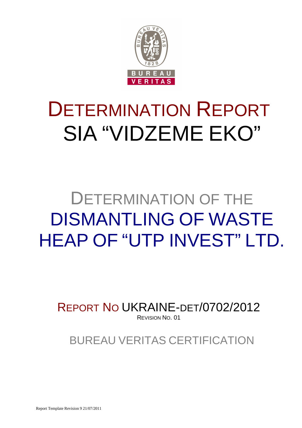

# DETERMINATION REPORT SIA "VIDZEME EKO"

# DETERMINATION OF THE DISMANTLING OF WASTE HEAP OF "UTP INVEST" LTD.

REPORT NO UKRAINE-DET/0702/2012 REVISION NO. 01

BUREAU VERITAS CERTIFICATION

Report Template Revision 9 21/07/2011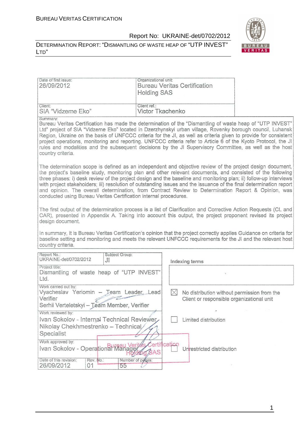LTD"

# Report No: UKRAINE-det/0702/2012





| Date of first issue:<br>26/09/2012                                                                                                                                                                                                                                                                                                                                                                                                                                                                                                                                                                                                              | Organizational unit:<br><b>Holding SAS</b> |             | <b>Bureau Veritas Certification</b>                                                      |  |
|-------------------------------------------------------------------------------------------------------------------------------------------------------------------------------------------------------------------------------------------------------------------------------------------------------------------------------------------------------------------------------------------------------------------------------------------------------------------------------------------------------------------------------------------------------------------------------------------------------------------------------------------------|--------------------------------------------|-------------|------------------------------------------------------------------------------------------|--|
| Client:<br>SIA "Vidzeme Eko"                                                                                                                                                                                                                                                                                                                                                                                                                                                                                                                                                                                                                    | Client ref.:<br>Victor Tkachenko           |             |                                                                                          |  |
| Summary:<br>Bureau Veritas Certification has made the determination of the "Dismantling of waste heap of "UTP INVEST"<br>Ltd" project of SIA "Vidzeme Eko" located in Dzerzhynskyi urban village, Rovenky borough council, Luhansk<br>Region, Ukraine on the basis of UNFCCC criteria for the JI, as well as criteria given to provide for consistent<br>project operations, monitoring and reporting. UNFCCC criteria refer to Article 6 of the Kyoto Protocol, the JI<br>rules and modalities and the subsequent decisions by the JI Supervisory Committee, as well as the host<br>country criteria.                                          |                                            |             |                                                                                          |  |
| The determination scope is defined as an independent and objective review of the project design document,<br>the project's baseline study, monitoring plan and other relevant documents, and consisted of the following<br>three phases: i) desk review of the project design and the baseline and monitoring plan; ii) follow-up interviews<br>with project stakeholders; iii) resolution of outstanding issues and the issuance of the final determination report<br>and opinion. The overall determination, from Contract Review to Determination Report & Opinion, was<br>conducted using Bureau Veritas Certification internal procedures. |                                            |             |                                                                                          |  |
| The first output of the determination process is a list of Clarification and Corrective Action Requests (CL and<br>CAR), presented in Appendix A. Taking into account this output, the project proponent revised its project<br>design document.                                                                                                                                                                                                                                                                                                                                                                                                |                                            |             |                                                                                          |  |
| In summary, it is Bureau Veritas Certification's opinion that the project correctly applies Guidance on criteria for<br>baseline setting and monitoring and meets the relevant UNFCCC requirements for the JI and the relevant host<br>country criteria.                                                                                                                                                                                                                                                                                                                                                                                        |                                            |             |                                                                                          |  |
| Report No.:<br>Subject Group:<br>UKRAINE-det/0702/2012<br>J <sub>1</sub>                                                                                                                                                                                                                                                                                                                                                                                                                                                                                                                                                                        |                                            |             | Indexing terms                                                                           |  |
| Project title:<br>Dismantling of waste heap of "UTP INVEST"<br>Ltd.                                                                                                                                                                                                                                                                                                                                                                                                                                                                                                                                                                             |                                            |             |                                                                                          |  |
| Work carried out by:<br>Vyacheslav Yeriomin - Jeam Leader, Lead<br>Verifier<br>Serhii Verteletskyi - Team Member, Verifier                                                                                                                                                                                                                                                                                                                                                                                                                                                                                                                      |                                            | $\boxtimes$ | No distribution without permission from the<br>Client or responsible organizational unit |  |
| Work reviewed by:<br>Ivan Sokolov - Internal Technical Reviewer<br>Nikolay Chekhmestrenko - Technical/                                                                                                                                                                                                                                                                                                                                                                                                                                                                                                                                          |                                            |             | Limited distribution                                                                     |  |
| Specialist<br>Work approved by:<br>Ivan Sokolov - Operational Manager / Annification                                                                                                                                                                                                                                                                                                                                                                                                                                                                                                                                                            |                                            |             | Unrestricted distribution                                                                |  |
| Date of this revision:<br>Rev. No.:<br>26/09/2012<br>01<br>55                                                                                                                                                                                                                                                                                                                                                                                                                                                                                                                                                                                   | Number of pages:                           |             |                                                                                          |  |

1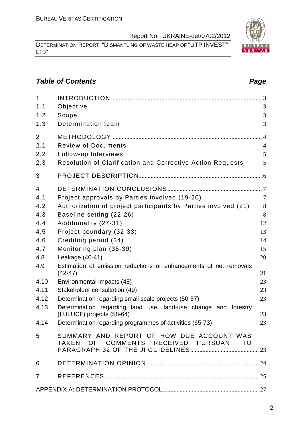DETERMINATION REPORT: "DISMANTLING OF WASTE HEAP OF "UTP INVEST" LTD"

# **Table of Contents Page 2018**

| $\mathbf{1}$   |                                                                                     |                |
|----------------|-------------------------------------------------------------------------------------|----------------|
| 1.1            | Objective                                                                           | 3              |
| 1.2            | Scope                                                                               | 3              |
| 1.3            | Determination team                                                                  | 3              |
| $\overline{2}$ |                                                                                     | $\overline{4}$ |
| 2.1            | <b>Review of Documents</b>                                                          | $\overline{4}$ |
| 2.2            | Follow-up Interviews                                                                | 5              |
| 2.3            | <b>Resolution of Clarification and Corrective Action Requests</b>                   | 5              |
| 3              |                                                                                     |                |
| 4              |                                                                                     |                |
| 4.1            | Project approvals by Parties involved (19-20)                                       | $\overline{7}$ |
| 4.2            | Authorization of project participants by Parties involved (21)                      | 8              |
| 4.3            | Baseline setting (22-26)                                                            | 8              |
| 4.4            | Additionality (27-31)                                                               | 12             |
| 4.5            | Project boundary (32-33)                                                            | 13             |
| 4.6            | Crediting period (34)                                                               | 14             |
| 4.7            | Monitoring plan (35-39)                                                             | 15             |
| 4.8            | Leakage (40-41)                                                                     | 20             |
| 4.9            | Estimation of emission reductions or enhancements of net removals<br>$(42 - 47)$    | 21             |
| 4.10           | Environmental impacts (48)                                                          | 23             |
| 4.11           | Stakeholder consultation (49)                                                       | 23             |
| 4.12           | Determination regarding small scale projects (50-57)                                | 23             |
| 4.13           | Determination regarding land use, land-use change and forestry                      |                |
|                | (LULUCF) projects (58-64)                                                           | 23             |
|                | 4.14 Determination regarding programmes of activities (65-73)                       | 23             |
| 5              | SUMMARY AND REPORT OF HOW DUE ACCOUNT WAS<br>TAKEN OF COMMENTS RECEIVED PURSUANT TO |                |
| 6              |                                                                                     |                |
| $\overline{7}$ |                                                                                     |                |
|                |                                                                                     |                |

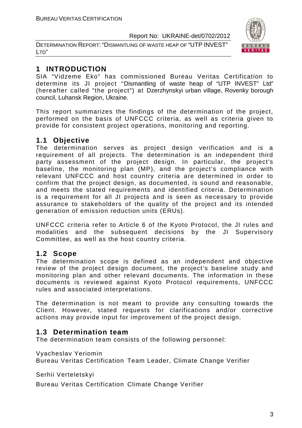DETERMINATION REPORT: "DISMANTLING OF WASTE HEAP OF "UTP INVEST" LTD"



# **1 INTRODUCTION**

SIA "Vidzeme Eko" has commissioned Bureau Veritas Certification to determine its JI project "Dismantling of waste heap of "UTP INVEST" Ltd" (hereafter called "the project") at Dzerzhynskyi urban village, Rovenky borough council, Luhansk Region, Ukraine.

This report summarizes the findings of the determination of the project, performed on the basis of UNFCCC criteria, as well as criteria given to provide for consistent project operations, monitoring and reporting.

# **1.1 Objective**

The determination serves as project design verification and is a requirement of all projects. The determination is an independent third party assessment of the project design. In particular, the project's baseline, the monitoring plan (MP), and the project's compliance with relevant UNFCCC and host country criteria are determined in order to confirm that the project design, as documented, is sound and reasonable, and meets the stated requirements and identified criteria. Determination is a requirement for all JI projects and is seen as necessary to provide assurance to stakeholders of the quality of the project and its intended generation of emission reduction units (ERUs).

UNFCCC criteria refer to Article 6 of the Kyoto Protocol, the JI rules and modalities and the subsequent decisions by the JI Supervisory Committee, as well as the host country criteria.

# **1.2 Scope**

The determination scope is defined as an independent and objective review of the project design document, the project's baseline study and monitoring plan and other relevant documents. The information in these documents is reviewed against Kyoto Protocol requirements, UNFCCC rules and associated interpretations.

The determination is not meant to provide any consulting towards the Client. However, stated requests for clarifications and/or corrective actions may provide input for improvement of the project design.

# **1.3 Determination team**

The determination team consists of the following personnel:

Vyacheslav Yeriomin

Bureau Veritas Certification Team Leader, Climate Change Verifier

Serhii Verteletskyi

Bureau Veritas Certification Climate Change Verifier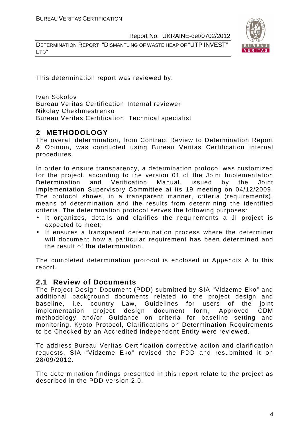DETERMINATION REPORT: "DISMANTLING OF WASTE HEAP OF "UTP INVEST" LTD"



This determination report was reviewed by:

Ivan Sokolov Bureau Veritas Certification, Internal reviewer Nikolay Chekhmestrenko Bureau Veritas Certification, Technical specialist

# **2 METHODOLOGY**

The overall determination, from Contract Review to Determination Report & Opinion, was conducted using Bureau Veritas Certification internal procedures.

In order to ensure transparency, a determination protocol was customized for the project, according to the version 01 of the Joint Implementation Determination and Verification Manual, issued by the Joint Implementation Supervisory Committee at its 19 meeting on 04/12/2009. The protocol shows, in a transparent manner, criteria (requirements), means of determination and the results from determining the identified criteria. The determination protocol serves the following purposes:

- It organizes, details and clarifies the requirements a JI project is expected to meet;
- It ensures a transparent determination process where the determiner will document how a particular requirement has been determined and the result of the determination.

The completed determination protocol is enclosed in Appendix A to this report.

### **2.1 Review of Documents**

The Project Design Document (PDD) submitted by SIA "Vidzeme Eko" and additional background documents related to the project design and baseline, i.e. country Law, Guidelines for users of the joint implementation project design document form, Approved CDM methodology and/or Guidance on criteria for baseline setting and monitoring, Kyoto Protocol, Clarifications on Determination Requirements to be Checked by an Accredited Independent Entity were reviewed.

To address Bureau Veritas Certification corrective action and clarification requests, SIA "Vidzeme Eko" revised the PDD and resubmitted it on 28/09/2012.

The determination findings presented in this report relate to the project as described in the PDD version 2.0.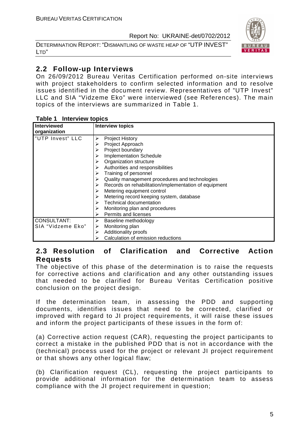DETERMINATION REPORT: "DISMANTLING OF WASTE HEAP OF "UTP INVEST" LTD"



# **2.2 Follow-up Interviews**

On 26/09/2012 Bureau Veritas Certification performed on-site interviews with project stakeholders to confirm selected information and to resolve issues identified in the document review. Representatives of "UTP Invest" LLC and SIA "Vidzeme Eko" were interviewed (see References). The main topics of the interviews are summarized in Table 1.

| <b>Interviewed</b> | <b>Interview topics</b>                               |
|--------------------|-------------------------------------------------------|
| organization       |                                                       |
| "UTP Invest" LLC   | <b>Project History</b><br>⋗                           |
|                    | Project Approach                                      |
|                    | Project boundary                                      |
|                    | <b>Implementation Schedule</b>                        |
|                    | Organization structure                                |
|                    | Authorities and responsibilities                      |
|                    | Training of personnel                                 |
|                    | Quality management procedures and technologies        |
|                    | Records on rehabilitation/implementation of equipment |
|                    | Metering equipment control                            |
|                    | Metering record keeping system, database              |
|                    | <b>Technical documentation</b>                        |
|                    | Monitoring plan and procedures                        |
|                    | Permits and licenses                                  |
| <b>CONSULTANT:</b> | Baseline methodology<br>➤                             |
| SIA "Vidzeme Eko"  | Monitoring plan<br>➤                                  |
|                    | Additionality proofs                                  |
|                    | Calculation of emission reductions                    |

#### **Table 1 Interview topics**

# **2.3 Resolution of Clarification and Corrective Action Requests**

The objective of this phase of the determination is to raise the requests for corrective actions and clarification and any other outstanding issues that needed to be clarified for Bureau Veritas Certification positive conclusion on the project design.

If the determination team, in assessing the PDD and supporting documents, identifies issues that need to be corrected, clarified or improved with regard to JI project requirements, it will raise these issues and inform the project participants of these issues in the form of:

(a) Corrective action request (CAR), requesting the project participants to correct a mistake in the published PDD that is not in accordance with the (technical) process used for the project or relevant JI project requirement or that shows any other logical flaw;

(b) Clarification request (CL), requesting the project participants to provide additional information for the determination team to assess compliance with the JI project requirement in question;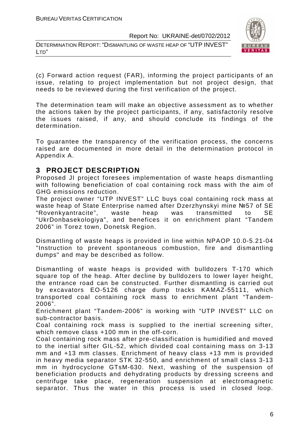DETERMINATION REPORT: "DISMANTLING OF WASTE HEAP OF "UTP INVEST" LTD"



(c) Forward action request (FAR), informing the project participants of an issue, relating to project implementation but not project design, that needs to be reviewed during the first verification of the project.

The determination team will make an objective assessment as to whether the actions taken by the project participants, if any, satisfactorily resolve the issues raised, if any, and should conclude its findings of the determination.

To guarantee the transparency of the verification process, the concerns raised are documented in more detail in the determination protocol in Appendix A.

# **3 PROJECT DESCRIPTION**

Proposed JI project foresees implementation of waste heaps dismantling with following beneficiation of coal containing rock mass with the aim of GHG emissions reduction.

The project owner "UTP INVEST" LLC buys coal containing rock mass at waste heap of State Enterprise named after Dzerzhynskyi mine №57 of SE "Rovenkyantracite", waste heap was transmitted to SE "UkrDonbasekologiya", and benefices it on enrichment plant "Tandem 2006" in Torez town, Donetsk Region.

Dismantling of waste heaps is provided in line within NPAOP 10.0-5.21-04 "Instruction to prevent spontaneous combustion, fire and dismantling dumps" and may be described as follow.

Dismantling of waste heaps is provided with bulldozers T-170 which square top of the heap. After decline by bulldozers to lower layer height, the entrance road can be constructed. Further dismantling is carried out by excavators EO-5126 charge dump tracks KAMAZ-55111, which transported coal containing rock mass to enrichment plant "Tandem-2006".

Enrichment plant "Tandem-2006" is working with "UTP INVEST" LLC on sub-contractor basis.

Coal containing rock mass is supplied to the inertial screening sifter, which remove class +100 mm in the off-corn.

Coal containing rock mass after pre-classification is humidified and moved to the inertial sifter GIL-52, which divided coal containing mass on 3-13 mm and +13 mm classes. Enrichment of heavy class +13 mm is provided in heavy media separator STK 32-550, and enrichment of small class 3-13 mm in hydrocyclone GTsM-630. Next, washing of the suspension of beneficiation products and dehydrating products by dressing screens and centrifuge take place, regeneration suspension at electromagnetic separator. Thus the water in this process is used in closed loop.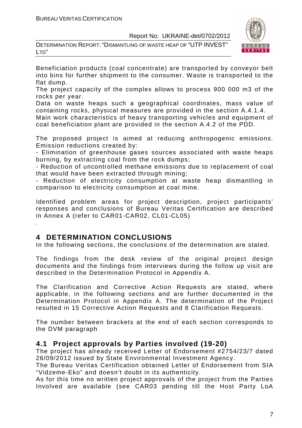



Beneficiation products (coal concentrate) are transported by conveyor belt into bins for further shipment to the consumer. Waste is transported to the flat dump.

The project capacity of the complex allows to process 900 000 m3 of the rocks per year.

Data on waste heaps such a geographical coordinates, mass value of containing rocks, physical measures are provided in the section A.4.1.4.

Main work characteristics of heavy transporting vehicles and equipment of coal beneficiation plant are provided in the section A.4.2 of the PDD.

The proposed project is aimed at reducing anthropogenic emissions. Emission reductions created by:

- Elimination of greenhouse gases sources associated with waste heaps burning, by extracting coal from the rock dumps;

- Reduction of uncontrolled methane emissions due to replacement of coal that would have been extracted through mining;

- Reduction of electricity consumption at waste heap dismantling in comparison to electricity consumption at coal mine.

Identified problem areas for project description, project participants' responses and conclusions of Bureau Veritas Certification are described in Annex A (refer to CAR01-CAR02, CL01-CL05)

### **4 DETERMINATION CONCLUSIONS**

.

In the following sections, the conclusions of the determination are stated.

The findings from the desk review of the original project design documents and the findings from interviews during the follow up visit are described in the Determination Protocol in Appendix A.

The Clarification and Corrective Action Requests are stated, where applicable, in the following sections and are further documented in the Determination Protocol in Appendix A. The determination of the Project resulted in 15 Corrective Action Requests and 8 Clarification Requests.

The number between brackets at the end of each section corresponds to the DVM paragraph

### **4.1 Project approvals by Parties involved (19-20)**

The project has already received Letter of Endorsement #2754/23/7 dated 26/09/2012 issued by State Environmental Investment Agency.

The Bureau Veritas Certification obtained Letter of Endorsement from SIA "Vidzeme-Eko" and doesn't doubt in its authenticity.

As for this time no written project approvals of the project from the Parties Involved are available (see CAR03 pending till the Host Party LoA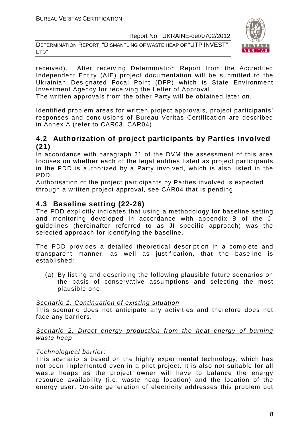DETERMINATION REPORT: "DISMANTLING OF WASTE HEAP OF "UTP INVEST" LTD"



received). After receiving Determination Report from the Accredited Independent Entity (AIE) project documentation will be submitted to the Ukrainian Designated Focal Point (DFP) which is State Environment Investment Agency for receiving the Letter of Approval.

The written approvals from the other Party will be obtained later on.

Identified problem areas for written project approvals, project participants' responses and conclusions of Bureau Veritas Certification are described in Annex A (refer to CAR03, CAR04)

# **4.2 Authorization of project participants by Parties involved (21)**

In accordance with paragraph 21 of the DVM the assessment of this area focuses on whether each of the legal entities listed as project participants in the PDD is authorized by a Party involved, which is also listed in the PDD.

Authorisation of the project participants by Parties involved is expected through a written project approval, see CAR04 that is pending

# **4.3 Baseline setting (22-26)**

The PDD explicitly indicates that using a methodology for baseline setting and monitoring developed in accordance with appendix B of the JI guidelines (hereinafter referred to as JI specific approach) was the selected approach for identifying the baseline.

The PDD provides a detailed theoretical description in a complete and transparent manner, as well as justification, that the baseline is established:

(a) By listing and describing the following plausible future scenarios on the basis of conservative assumptions and selecting the most plausible one:

#### Scenario 1. Continuation of existing situation

This scenario does not anticipate any activities and therefore does not face any barriers.

#### Scenario 2. Direct energy production from the heat energy of burning waste heap

### Technological barrier:

This scenario is based on the highly experimental technology, which has not been implemented even in a pilot project. It is also not suitable for all waste heaps as the project owner will have to balance the energy resource availability (i.e. waste heap location) and the location of the energy user. On-site generation of electricity addresses this problem but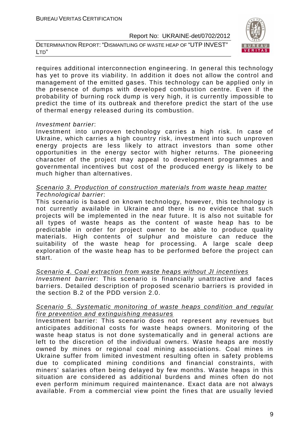DETERMINATION REPORT: "DISMANTLING OF WASTE HEAP OF "UTP INVEST" LTD"



requires additional interconnection engineering. In general this technology has yet to prove its viability. In addition it does not allow the control and management of the emitted gases. This technology can be applied only in the presence of dumps with developed combustion centre. Even if the probability of burning rock dump is very high, it is currently impossible to predict the time of its outbreak and therefore predict the start of the use of thermal energy released during its combustion.

#### Investment barrier:

Investment into unproven technology carries a high risk. In case of Ukraine, which carries a high country risk, investment into such unproven energy projects are less likely to attract investors than some other opportunities in the energy sector with higher returns. The pioneering character of the project may appeal to development programmes and governmental incentives but cost of the produced energy is likely to be much higher than alternatives.

#### Scenario 3. Production of construction materials from waste heap matter Technological barrier:

This scenario is based on known technology, however, this technology is not currently available in Ukraine and there is no evidence that such projects will be implemented in the near future. It is also not suitable for all types of waste heaps as the content of waste heap has to be predictable in order for project owner to be able to produce quality materials. High contents of sulphur and moisture can reduce the suitability of the waste heap for processing. A large scale deep exploration of the waste heap has to be performed before the project can start.

#### Scenario 4. Coal extraction from waste heaps without JI incentives

Investment barrier: This scenario is financially unattractive and faces barriers. Detailed description of proposed scenario barriers is provided in the section B.2 of the PDD version 2.0.

#### Scenario 5. Systematic monitoring of waste heaps condition and regular fire prevention and extinguishing measures

Investment barrier: This scenario does not represent any revenues but anticipates additional costs for waste heaps owners. Monitoring of the waste heap status is not done systematically and in general actions are left to the discretion of the individual owners. Waste heaps are mostly owned by mines or regional coal mining associations. Coal mines in Ukraine suffer from limited investment resulting often in safety problems due to complicated mining conditions and financial constraints, with miners' salaries often being delayed by few months. Waste heaps in this situation are considered as additional burdens and mines often do not even perform minimum required maintenance. Exact data are not always available. From a commercial view point the fines that are usually levied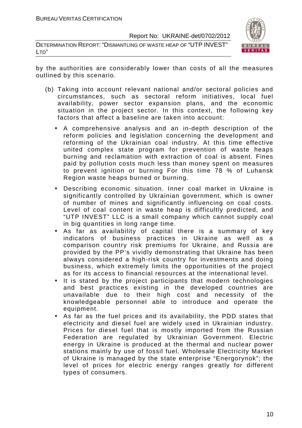DETERMINATION REPORT: "DISMANTLING OF WASTE HEAP OF "UTP INVEST" LTD"



by the authorities are considerably lower than costs of all the measures outlined by this scenario.

- (b) Taking into account relevant national and/or sectoral policies and circumstances, such as sectoral reform initiatives, local fuel availability, power sector expansion plans, and the economic situation in the project sector. In this context, the following key factors that affect a baseline are taken into account:
	- A comprehensive analysis and an in-depth description of the reform policies and legislation concerning the development and reforming of the Ukrainian coal industry. At this time effective united complex state program for prevention of waste heaps burning and reclamation with extraction of coal is absent. Fines paid by pollution costs much less than money spent on measures to prevent ignition or burning For this time 78 % of Luhansk Region waste heaps burned or burning.
	- Describing economic situation. Inner coal market in Ukraine is significantly controlled by Ukrainian government, which is owner of number of mines and significantly influencing on coal costs. Level of coal content in waste heap is difficultly predicted, and "UTP INVEST" LLC is a small company which cannot supply coal in big quantities in long range time.
	- As far as availability of capital there is a summary of key indicators of business practices in Ukraine as well as a comparison country risk premiums for Ukraine, and Russia are provided by the PP's vividly demonstrating that Ukraine has been always considered a high-risk country for investments and doing business, which extremely limits the opportunities of the project as for its access to financial resources at the international level.
	- It is stated by the project participants that modern technologies and best practices existing in the developed countries are unavailable due to their high cost and necessity of the knowledgeable personnel able to introduce and operate the equipment.
	- As far as the fuel prices and its availability, the PDD states that electricity and diesel fuel are widely used in Ukrainian industry. Prices for diesel fuel that is mostly imported from the Russian Federation are regulated by Ukrainian Government. Electric energy in Ukraine is produced at the thermal and nuclear power stations mainly by use of fossil fuel. Wholesale Electricity Market of Ukraine is managed by the state enterprise "Energorynok"; the level of prices for electric energy ranges greatly for different types of consumers.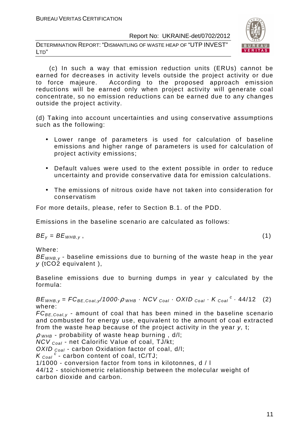DETERMINATION REPORT: "DISMANTLING OF WASTE HEAP OF "UTP INVEST" LTD"



 (c) In such a way that emission reduction units (ERUs) cannot be earned for decreases in activity levels outside the project activity or due to force majeure. According to the proposed approach emission reductions will be earned only when project activity will generate coal concentrate, so no emission reductions can be earned due to any changes outside the project activity.

(d) Taking into account uncertainties and using conservative assumptions such as the following:

- Lower range of parameters is used for calculation of baseline emissions and higher range of parameters is used for calculation of project activity emissions;
- Default values were used to the extent possible in order to reduce uncertainty and provide conservative data for emission calculations.
- The emissions of nitrous oxide have not taken into consideration for conservatism

For more details, please, refer to Section B.1. of the PDD.

Emissions in the baseline scenario are calculated as follows:

 $BE_v = BE_{WHB,v}$ , (1)

Where:

 $BE<sub>WHB,y</sub>$  - baseline emissions due to burning of the waste heap in the year y (tCO2 equivalent ),

Baseline emissions due to burning dumps in year y calculated by the formula:

 $BE_{WHB,y} = FC_{BE,Coal,y}/1000 \cdot \rho_{WHB} \cdot NCV_{Coal} \cdot OXID_{Coal} \cdot K_{Coal}^c \cdot 44/12$  (2) where:

 $FC_{BE,Coal,v}$  - amount of coal that has been mined in the baseline scenario and combusted for energy use, equivalent to the amount of coal extracted from the waste heap because of the project activity in the year y, t;

 $\rho$  w<sub>HB</sub> - probability of waste heap burning,  $d/l$ ;

NCV <sub>Coal</sub> - net Calorific Value of coal, TJ/kt:

OXID  $_{Coal}$  - carbon Oxidation factor of coal, d/l;

 $K_{\text{Coal}}^c$  - carbon content of coal, tC/TJ;

1/1000 - conversion factor from tons in kilotonnes, d / l

44/12 - stoichiometric relationship between the molecular weight of carbon dioxide and carbon.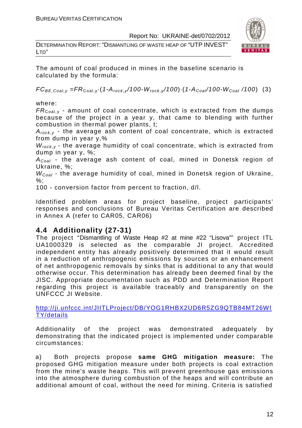DETERMINATION REPORT: "DISMANTLING OF WASTE HEAP OF "UTP INVEST" LTD"



The amount of coal produced in mines in the baseline scenario is calculated by the formula:

 $FC_{BE,Coal,v} = FR_{Coal,v} (1-A_{rock,v}/100-W_{rock,v}/100) (1-A_{Coal}/100-W_{Coal}/100)$  (3)

where:

 $FR_{\text{Coal,v}}$  - amount of coal concentrate, which is extracted from the dumps because of the project in a year y, that came to blending with further combustion in thermal power plants, t;

 $A_{rock, v}$  - the average ash content of coal concentrate, which is extracted from dump in year y,%

 $W_{rock,y}$  - the average humidity of coal concentrate, which is extracted from dump in year y, %;

 $A_{Coal}$  - the average ash content of coal, mined in Donetsk region of Ukraine, %;

 $W_{Coal}$  - the average humidity of coal, mined in Donetsk region of Ukraine, %;

100 - conversion factor from percent to fraction, d/l.

Identified problem areas for project baseline, project participants' responses and conclusions of Bureau Veritas Certification are described in Annex A (refer to CAR05, CAR06)

# **4.4 Additionality (27-31)**

The project "Dismantling of Waste Heap #2 at mine #22 "Lisova"" project ITL UA1000329 is selected as the comparable JI project. Accredited independent entity has already positively determined that it would result in a reduction of anthropogenic emissions by sources or an enhancement of net anthropogenic removals by sinks that is additional to any that would otherwise occur. This determination has already been deemed final by the JISC. Appropriate documentation such as PDD and Determination Report regarding this project is available traceably and transparently on the UNFCCC JI Website.

http://ji.unfccc.int/JIITLProject/DB/YOG1RHBX2UD6R5ZG9QTB84MT26WI TY/details

Additionality of the project was demonstrated adequately by demonstrating that the indicated project is implemented under comparable circumstances:

a) Both projects propose **same GHG mitigation measure:** The proposed GHG mitigation measure under both projects is coal extraction from the mine's waste heaps. This will prevent greenhouse gas emissions into the atmosphere during combustion of the heaps and will contribute an additional amount of coal, without the need for mining. Criteria is satisfied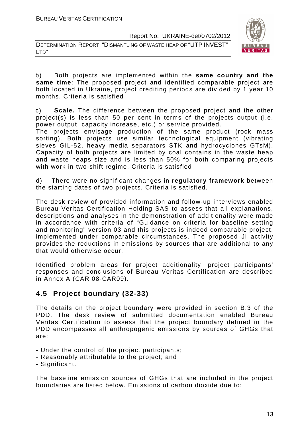



b) Both projects are implemented within the **same country and the same time**: The proposed project and identified comparable project are both located in Ukraine, project crediting periods are divided by 1 year 10 months. Criteria is satisfied

c) **Scale.** The difference between the proposed project and the other project(s) is less than 50 per cent in terms of the projects output (i.e. power output, capacity increase, etc.) or service provided.

The projects envisage production of the same product (rock mass sorting). Both projects use similar technological equipment (vibrating sieves GIL-52, heavy media separators STK and hydrocyclones GTsM). Capacity of both projects are limited by coal contains in the waste heap and waste heaps size and is less than 50% for both comparing projects with work in two-shift regime. Criteria is satisfied

d) There were no significant changes in **regulatory framework** between the starting dates of two projects. Criteria is satisfied.

The desk review of provided information and follow-up interviews enabled Bureau Veritas Certification Holding SAS to assess that all explanations, descriptions and analyses in the demonstration of additionality were made in accordance with criteria of "Guidance on criteria for baseline setting and monitoring" version 03 and this projects is indeed comparable project, implemented under comparable circumstances. The proposed JI activity provides the reductions in emissions by sources that are additional to any that would otherwise occur.

Identified problem areas for project additionality, project participants' responses and conclusions of Bureau Veritas Certification are described in Annex A (CAR 08-CAR09).

# **4.5 Project boundary (32-33)**

The details on the project boundary were provided in section B.3 of the PDD. The desk review of submitted documentation enabled Bureau Veritas Certification to assess that the project boundary defined in the PDD encompasses all anthropogenic emissions by sources of GHGs that are:

- Under the control of the project participants;
- Reasonably attributable to the project; and
- Significant.

The baseline emission sources of GHGs that are included in the project boundaries are listed below. Emissions of carbon dioxide due to: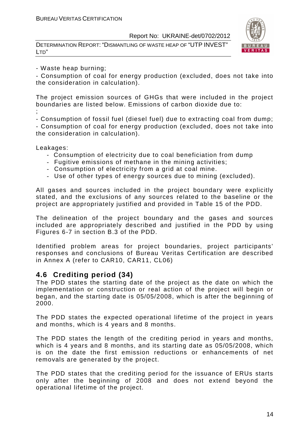DETERMINATION REPORT: "DISMANTLING OF WASTE HEAP OF "UTP INVEST" LTD"



- Waste heap burning;

- Consumption of coal for energy production (excluded, does not take into the consideration in calculation).

The project emission sources of GHGs that were included in the project boundaries are listed below. Emissions of carbon dioxide due to: ;

- Consumption of fossil fuel (diesel fuel) due to extracting coal from dump; - Consumption of coal for energy production (excluded, does not take into the consideration in calculation).

Leakages:

- Consumption of electricity due to coal beneficiation from dump
- Fugitive emissions of methane in the mining activities;
- Consumption of electricity from a grid at coal mine.
- Use of other types of energy sources due to mining (excluded).

All gases and sources included in the project boundary were explicitly stated, and the exclusions of any sources related to the baseline or the project are appropriately justified and provided in Table 15 of the PDD.

The delineation of the project boundary and the gases and sources included are appropriately described and justified in the PDD by using Figures 6-7 in section B.3 of the PDD.

Identified problem areas for project boundaries, project participants' responses and conclusions of Bureau Veritas Certification are described in Annex A (refer to CAR10, CAR11, CL06)

### **4.6 Crediting period (34)**

The PDD states the starting date of the project as the date on which the implementation or construction or real action of the project will begin or began, and the starting date is 05/05/2008, which is after the beginning of 2000.

The PDD states the expected operational lifetime of the project in years and months, which is 4 years and 8 months.

The PDD states the length of the crediting period in years and months, which is 4 years and 8 months, and its starting date as 05/05/2008, which is on the date the first emission reductions or enhancements of net removals are generated by the project.

The PDD states that the crediting period for the issuance of ERUs starts only after the beginning of 2008 and does not extend beyond the operational lifetime of the project.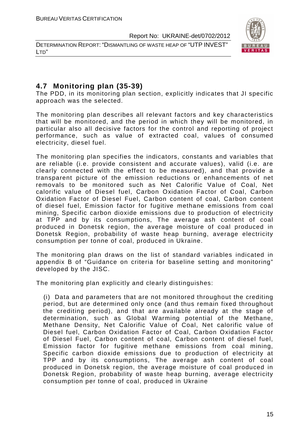DETERMINATION REPORT: "DISMANTLING OF WASTE HEAP OF "UTP INVEST" LTD"



# **4.7 Monitoring plan (35-39)**

The PDD, in its monitoring plan section, explicitly indicates that JI specific approach was the selected.

The monitoring plan describes all relevant factors and key characteristics that will be monitored, and the period in which they will be monitored, in particular also all decisive factors for the control and reporting of project performance, such as value of extracted coal, values of consumed electricity, diesel fuel.

The monitoring plan specifies the indicators, constants and variables that are reliable (i.e. provide consistent and accurate values), valid (i.e. are clearly connected with the effect to be measured), and that provide a transparent picture of the emission reductions or enhancements of net removals to be monitored such as Net Calorific Value of Coal, Net calorific value of Diesel fuel, Carbon Oxidation Factor of Coal, Carbon Oxidation Factor of Diesel Fuel, Carbon content of coal, Carbon content of diesel fuel, Emission factor for fugitive methane emissions from coal mining, Specific carbon dioxide emissions due to production of electricity at TPP and by its consumptions, The average ash content of coal produced in Donetsk region, the average moisture of coal produced in Donetsk Region, probability of waste heap burning, average electricity consumption per tonne of coal, produced in Ukraine.

The monitoring plan draws on the list of standard variables indicated in appendix B of "Guidance on criteria for baseline setting and monitoring" developed by the JISC.

The monitoring plan explicitly and clearly distinguishes:

(i) Data and parameters that are not monitored throughout the crediting period, but are determined only once (and thus remain fixed throughout the crediting period), and that are available already at the stage of determination, such as Global Warming potential of the Methane, Methane Density, Net Calorific Value of Coal, Net calorific value of Diesel fuel, Carbon Oxidation Factor of Coal, Carbon Oxidation Factor of Diesel Fuel, Carbon content of coal, Carbon content of diesel fuel, Emission factor for fugitive methane emissions from coal mining, Specific carbon dioxide emissions due to production of electricity at TPP and by its consumptions, The average ash content of coal produced in Donetsk region, the average moisture of coal produced in Donetsk Region, probability of waste heap burning, average electricity consumption per tonne of coal, produced in Ukraine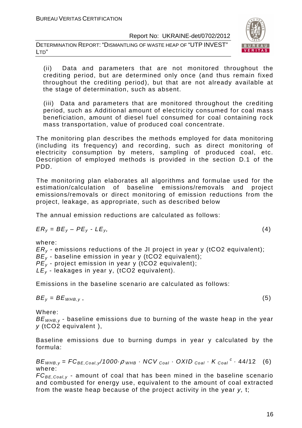DETERMINATION REPORT: "DISMANTLING OF WASTE HEAP OF "UTP INVEST" LTD"



(ii) Data and parameters that are not monitored throughout the crediting period, but are determined only once (and thus remain fixed throughout the crediting period), but that are not already available at the stage of determination, such as absent.

(iii) Data and parameters that are monitored throughout the crediting period, such as Additional amount of electricity consumed for coal mass beneficiation, amount of diesel fuel consumed for coal containing rock mass transportation, value of produced coal concentrate.

The monitoring plan describes the methods employed for data monitoring (including its frequency) and recording, such as direct monitoring of electricity consumption by meters, sampling of produced coal, etc. Description of employed methods is provided in the section D.1 of the PDD.

The monitoring plan elaborates all algorithms and formulae used for the estimation/calculation of baseline emissions/removals and project emissions/removals or direct monitoring of emission reductions from the project, leakage, as appropriate, such as described below

The annual emission reductions are calculated as follows:

$$
ER_y = BE_y - PE_y - LE_y, \tag{4}
$$

where:

 $ER<sub>v</sub>$  - emissions reductions of the JI project in year y (tCO2 equivalent);  $BE_{y}$  - baseline emission in year y (tCO2 equivalent);

 $PE<sub>v</sub>$  - project emission in year y (tCO2 equivalent);

 $LE_v$  - leakages in year y, (tCO2 equivalent).

Emissions in the baseline scenario are calculated as follows:

$$
BE_y = BE_{WHB,y}, \t\t(5)
$$

Where:

 $BE<sub>WHB,V</sub>$  - baseline emissions due to burning of the waste heap in the year y (tCO2 equivalent ),

Baseline emissions due to burning dumps in year y calculated by the formula:

 $BE_{WHB,y} = FC_{BE,Coal,y}$ /1000 $\cdot \rho$  whe  $\cdot$  NCV  $_{Coal} \cdot$  OXID  $_{Coal} \cdot K_{Coal}^c \cdot$  44/12 (6) where:

 $FC_{BE,Coal,v}$  - amount of coal that has been mined in the baseline scenario and combusted for energy use, equivalent to the amount of coal extracted from the waste heap because of the project activity in the year y, t;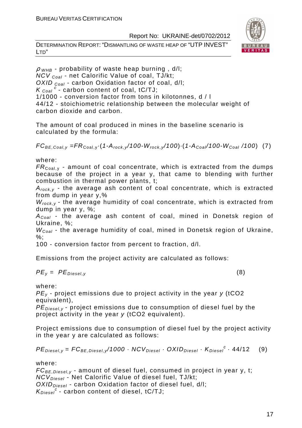DETERMINATION REPORT: "DISMANTLING OF WASTE HEAP OF "UTP INVEST" LTD"



 $\rho$  w<sub>HB</sub> - probability of waste heap burning, d/l;  $NCV_{Coal}$  - net Calorific Value of coal, TJ/kt; OXID  $_{Coal}$  - carbon Oxidation factor of coal, d/l;  $K_{\text{Coal}}^c$  - carbon content of coal, tC/TJ; 1/1000 - conversion factor from tons in kilotonnes, d / l 44/12 - stoichiometric relationship between the molecular weight of carbon dioxide and carbon.

The amount of coal produced in mines in the baseline scenario is calculated by the formula:

 $FC_{BE,Coal,v} = FR_{Coal,v} (1-A_{rock,v}/100-W_{rock,v}/100) (1-A_{Coal}/100-W_{Coal}/100)$  (7)

where:

 $FR_{\text{Coal,v}}$  - amount of coal concentrate, which is extracted from the dumps because of the project in a year y, that came to blending with further combustion in thermal power plants, t;

 $A_{rock,y}$  - the average ash content of coal concentrate, which is extracted from dump in year y,%

 $W_{rock,y}$  - the average humidity of coal concentrate, which is extracted from dump in year y, %;

 $A_{Coal}$  - the average ash content of coal, mined in Donetsk region of Ukraine, %;

 $W_{Coal}$  - the average humidity of coal, mined in Donetsk region of Ukraine, %;

100 - conversion factor from percent to fraction, d/l.

Emissions from the project activity are calculated as follows:

$$
PE_{y} = PE_{Diesel,y} \tag{8}
$$

where:

 $PE<sub>v</sub>$  - project emissions due to project activity in the year  $\gamma$  (tCO2 equivalent),

 $PE_{\text{Diesel},v}$  - project emissions due to consumption of diesel fuel by the project activity in the year y (tCO2 equivalent).

Project emissions due to consumption of diesel fuel by the project activity in the year y are calculated as follows:

$$
PEDiesel,y = FCBE,Diesel,y/1000 \cdot NCVDiesel \cdot OXIDDiesel \cdot KDiesel \cdot 44/12
$$
 (9)

where:

 $FC_{BE, Diesel, y}$  - amount of diesel fuel, consumed in project in year y, t;  $NCV_{Diesel}$  - Net Calorific Value of diesel fuel, TJ/kt;  $OXID<sub>Diesel</sub>$  - carbon Oxidation factor of diesel fuel, d/l;  $K_{Diesel}^c$  - carbon content of diesel, tC/TJ;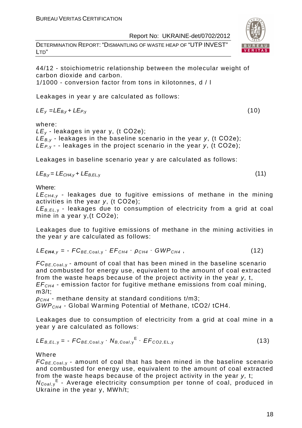DETERMINATION REPORT: "DISMANTLING OF WASTE HEAP OF "UTP INVEST" LTD"



1/1000 - conversion factor from tons in kilotonnes, d / l

Leakages in year y are calculated as follows:

 $LE_v = LE_{B.v} + LE_{P.v}$  (10)

where:

 $LE_v$  - leakages in year y, (t CO2e);  $LE_{By}$  - leakages in the baseline scenario in the year y, (t CO2e);  $LE_{P,y}$  - - leakages in the project scenario in the year y, (t CO2e);

Leakages in baseline scenario year y are calculated as follows:

$$
LE_{B,y} = LE_{CH4,y} + LE_{B,EL,y}
$$
 (11)

Where:

 $LE<sub>CH4,V</sub>$  - leakages due to fugitive emissions of methane in the mining activities in the year y, (t СО2е);

 $LE_{B, EI}$  - leakages due to consumption of electricity from a grid at coal mine in a year y, (t CO2e);

Leakages due to fugitive emissions of methane in the mining activities in the year y are calculated as follows:

$$
LE_{\text{CH4},y} = -FC_{BE,Coal,y} \cdot EF_{CH4} \cdot \rho_{CH4} \cdot GWP_{CH4}, \qquad (12)
$$

 $FC_{BE, coal,v}$  - amount of coal that has been mined in the baseline scenario and combusted for energy use, equivalent to the amount of coal extracted from the waste heaps because of the project activity in the year y, t,  $EF<sub>CH4</sub>$  - emission factor for fugitive methane emissions from coal mining, m3/t;

 $\rho_{CH4}$  - methane density at standard conditions t/m3; GWPCH4 - Global Warming Potential of Methane, tСО2/ tСН4.

Leakages due to consumption of electricity from a grid at coal mine in a year y are calculated as follows:

$$
LE_{B,EL,y} = -FC_{BE,Coal,y} \cdot N_{B,Coal,y}^{E} \cdot EF_{CO2,EL,y}
$$
 (13)

**Where** 

 $FC_{BE,Coal,v}$  - amount of coal that has been mined in the baseline scenario and combusted for energy use, equivalent to the amount of coal extracted from the waste heaps because of the project activity in the year y, t; N<sub>Coal,y</sub><sup>E</sup> - Average electricity consumption per tonne of coal, produced in Ukraine in the year y, MWh/t;

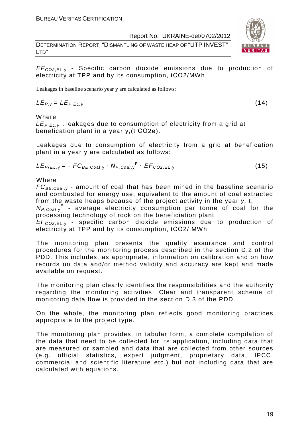DETERMINATION REPORT: "DISMANTLING OF WASTE HEAP OF "UTP INVEST" LTD"

#### EF<sup>C</sup>*О*2,EL, <sup>у</sup> - Specific carbon dioxide emissions due to production of electricity at TPP and by its consumption, tСО2/MWh

Leakages in baseline scenario year y are calculated as follows:

 $LE_{P,V} = LE_{P,FL,V}$  (14)

Where

LE<sub>P.EL,y</sub> leakages due to consumption of electricity from a grid at benefication plant in a year y,(t СО2е).

Leakages due to consumption of electricity from a grid at benefication plant in a year y are calculated as follows:

$$
LE_{P, EL, y} = -FC_{BE, Coal, y} \cdot N_{P, Coal, y}^{E} \cdot EF_{CO2, EL, y}
$$
 (15)

Where

 $FC_{BE, coal,v}$  - amount of coal that has been mined in the baseline scenario and combusted for energy use, equivalent to the amount of coal extracted from the waste heaps because of the project activity in the year y, t; N<sub>P, Coal, y</sub><sup>E</sup> - average electricity consumption per tonne of coal for the

processing technology of rock on the beneficiation plant

EF<sup>C</sup>*О*2,EL, <sup>у</sup> - specific carbon dioxide emissions due to production of electricity at TPP and by its consumption, tСО2/ MWh

The monitoring plan presents the quality assurance and control procedures for the monitoring process described in the section D.2 of the PDD. This includes, as appropriate, information on calibration and on how records on data and/or method validity and accuracy are kept and made available on request.

The monitoring plan clearly identifies the responsibilities and the authority regarding the monitoring activities. Clear and transparent scheme of monitoring data flow is provided in the section D.3 of the PDD.

On the whole, the monitoring plan reflects good monitoring practices appropriate to the project type.

The monitoring plan provides, in tabular form, a complete compilation of the data that need to be collected for its application, including data that are measured or sampled and data that are collected from other sources (e.g. official statistics, expert judgment, proprietary data, IPCC, commercial and scientific literature etc.) but not including data that are calculated with equations.

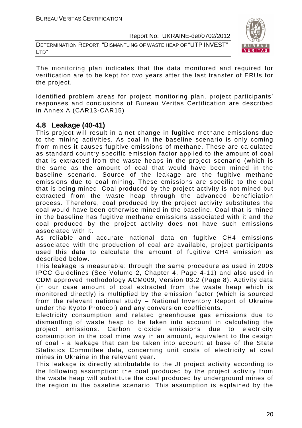DETERMINATION REPORT: "DISMANTLING OF WASTE HEAP OF "UTP INVEST" LTD"



The monitoring plan indicates that the data monitored and required for verification are to be kept for two years after the last transfer of ERUs for the project.

Identified problem areas for project monitoring plan, project participants' responses and conclusions of Bureau Veritas Certification are described in Annex A (CAR13-CAR15)

#### **4.8 Leakage (40-41)**

This project will result in a net change in fugitive methane emissions due to the mining activities. As coal in the baseline scenario is only coming from mines it causes fugitive emissions of methane. These are calculated as standard country specific emission factor applied to the amount of coal that is extracted from the waste heaps in the project scenario (which is the same as the amount of coal that would have been mined in the baseline scenario. Source of the leakage are the fugitive methane emissions due to coal mining. These emissions are specific to the coal that is being mined. Coal produced by the project activity is not mined but extracted from the waste heap through the advanced beneficiation process. Therefore, coal produced by the project activity substitutes the coal would have been otherwise mined in the baseline. Coal that is mined in the baseline has fugitive methane emissions associated with it and the coal produced by the project activity does not have such emissions associated with it.

As reliable and accurate national data on fugitive CH4 emissions associated with the production of coal are available, project participants used this data to calculate the amount of fugitive CH4 emission as described below.

This leakage is measurable: through the same procedure as used in 2006 IPCC Guidelines (See Volume 2, Chapter 4, Page 4-11) and also used in CDM approved methodology ACM009, Version 03.2 (Page 8). Activity data (in our case amount of coal extracted from the waste heap which is monitored directly) is multiplied by the emission factor (which is sourced from the relevant national study – National Inventory Report of Ukraine under the Kyoto Protocol) and any conversion coefficients.

Electricity consumption and related greenhouse gas emissions due to dismantling of waste heap to be taken into account in calculating the project emissions. Carbon dioxide emissions due to electricity consumption in the coal mine way in an amount, equivalent to the design of coal - a leakage that can be taken into account at base of the State Statistics Committee data, concerning unit costs of electricity at coal mines in Ukraine in the relevant year.

This leakage is directly attributable to the JI project activity according to the following assumption: the coal produced by the project activity from the waste heap will substitute the coal produced by underground mines of the region in the baseline scenario. This assumption is explained by the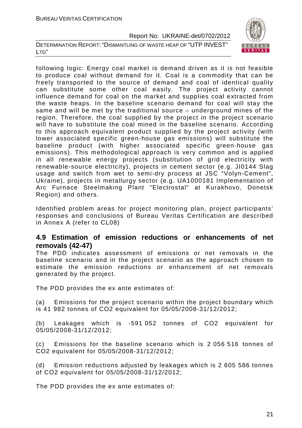DETERMINATION REPORT: "DISMANTLING OF WASTE HEAP OF "UTP INVEST" LTD"



following logic: Energy coal market is demand driven as it is not feasible to produce coal without demand for it. Coal is a commodity that can be freely transported to the source of demand and coal of identical quality can substitute some other coal easily. The project activity cannot influence demand for coal on the market and supplies coal extracted from the waste heaps. In the baseline scenario demand for coal will stay the same and will be met by the traditional source – underground mines of the region. Therefore, the coal supplied by the project in the project scenario will have to substitute the coal mined in the baseline scenario. According to this approach equivalent product supplied by the project activity (with lower associated specific green-house gas emissions) will substitute the baseline product (with higher associated specific green-house gas emissions). This methodological approach is very common and is applied in all renewable energy projects (substitution of grid electricity with renewable-source electricity), projects in cement sector (e.g. JI0144 Slag usage and switch from wet to semi-dry process at JSC "Volyn-Cement", Ukraine), projects in metallurgy sector (e.g. UA1000181 Implementation of Arc Furnace Steelmaking Plant "Electrostal" at Kurakhovo, Donetsk Region) and others.

Identified problem areas for project monitoring plan, project participants' responses and conclusions of Bureau Veritas Certification are described in Annex A (refer to CL08)

# **4.9 Estimation of emission reductions or enhancements of net removals (42-47)**

The PDD indicates assessment of emissions or net removals in the baseline scenario and in the project scenario as the approach chosen to estimate the emission reductions or enhancement of net removals generated by the project.

The PDD provides the ex ante estimates of:

(a) Emissions for the project scenario within the project boundary which is 41 982 tonnes of CO2 equivalent for 05/05/2008-31/12/2012;

(b) Leakages which is -591 052 tonnes of CO2 equivalent for 05/05/2008-31/12/2012;

(c) Emissions for the baseline scenario which is 2 056 516 tonnes of CO2 equivalent for 05/05/2008-31/12/2012;

(d) Emission reductions adjusted by leakages which is 2 605 586 tonnes of CO2 equivalent for 05/05/2008-31/12/2012;

The PDD provides the ex ante estimates of: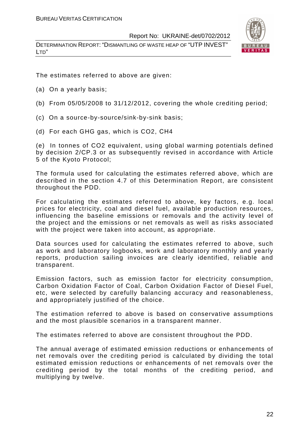DETERMINATION REPORT: "DISMANTLING OF WASTE HEAP OF "UTP INVEST" LTD"



The estimates referred to above are given:

- (a) On a yearly basis;
- (b) From 05/05/2008 to 31/12/2012, covering the whole crediting period;
- (c) On a source-by-source/sink-by-sink basis;
- (d) For each GHG gas, which is CO2, СН4

(e) In tonnes of CO2 equivalent, using global warming potentials defined by decision 2/CP.3 or as subsequently revised in accordance with Article 5 of the Kyoto Protocol;

The formula used for calculating the estimates referred above, which are described in the section 4.7 of this Determination Report, are consistent throughout the PDD.

For calculating the estimates referred to above, key factors, e.g. local prices for electricity, coal and diesel fuel, available production resources, influencing the baseline emissions or removals and the activity level of the project and the emissions or net removals as well as risks associated with the project were taken into account, as appropriate.

Data sources used for calculating the estimates referred to above, such as work and laboratory logbooks, work and laboratory monthly and yearly reports, production sailing invoices are clearly identified, reliable and transparent.

Emission factors, such as emission factor for electricity consumption, Carbon Oxidation Factor of Coal, Carbon Oxidation Factor of Diesel Fuel, etc, were selected by carefully balancing accuracy and reasonableness, and appropriately justified of the choice.

The estimation referred to above is based on conservative assumptions and the most plausible scenarios in a transparent manner.

The estimates referred to above are consistent throughout the PDD.

The annual average of estimated emission reductions or enhancements of net removals over the crediting period is calculated by dividing the total estimated emission reductions or enhancements of net removals over the crediting period by the total months of the crediting period, and multiplying by twelve.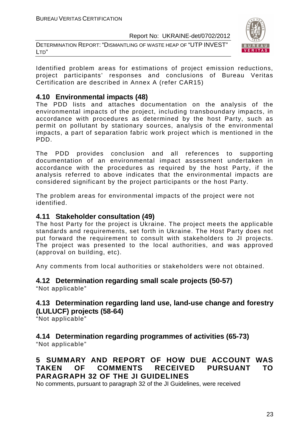DETERMINATION REPORT: "DISMANTLING OF WASTE HEAP OF "UTP INVEST" LTD"



Identified problem areas for estimations of project emission reductions, project participants' responses and conclusions of Bureau Veritas Certification are described in Annex A (refer CAR15)

# **4.10 Environmental impacts (48)**

The PDD lists and attaches documentation on the analysis of the environmental impacts of the project, including transboundary impacts, in accordance with procedures as determined by the host Party, such as permit on pollutant by stationary sources, analysis of the environmental impacts, a part of separation fabric work project which is mentioned in the PDD.

The PDD provides conclusion and all references to supporting documentation of an environmental impact assessment undertaken in accordance with the procedures as required by the host Party, if the analysis referred to above indicates that the environmental impacts are considered significant by the project participants or the host Party.

The problem areas for environmental impacts of the project were not identified.

## **4.11 Stakeholder consultation (49)**

The host Party for the project is Ukraine. The project meets the applicable standards and requirements, set forth in Ukraine. The Host Party does not put forward the requirement to consult with stakeholders to JI projects. The project was presented to the local authorities, and was approved (approval on building, etc).

Any comments from local authorities or stakeholders were not obtained.

#### **4.12 Determination regarding small scale projects (50-57)**  "Not applicable"

# **4.13 Determination regarding land use, land-use change and forestry (LULUCF) projects (58-64)**

"Not applicable"

#### **4.14 Determination regarding programmes of activities (65-73)**  "Not applicable"

# **5 SUMMARY AND REPORT OF HOW DUE ACCOUNT WAS TAKEN OF COMMENTS RECEIVED PURSUANT TO PARAGRAPH 32 OF THE JI GUIDELINES**

No comments, pursuant to paragraph 32 of the JI Guidelines, were received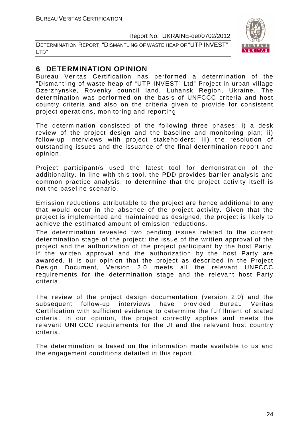DETERMINATION REPORT: "DISMANTLING OF WASTE HEAP OF "UTP INVEST" LTD"



# **6 DETERMINATION OPINION**

Bureau Veritas Certification has performed a determination of the "Dismantling of waste heap of "UTP INVEST" Ltd" Project in urban village Dzerzhynske, Rovenky council land, Luhansk Region, Ukraine. The determination was performed on the basis of UNFCCC criteria and host country criteria and also on the criteria given to provide for consistent project operations, monitoring and reporting.

The determination consisted of the following three phases: i) a desk review of the project design and the baseline and monitoring plan; ii) follow-up interviews with project stakeholders; iii) the resolution of outstanding issues and the issuance of the final determination report and opinion.

Project participant/s used the latest tool for demonstration of the additionality. In line with this tool, the PDD provides barrier analysis and common practice analysis, to determine that the project activity itself is not the baseline scenario.

Emission reductions attributable to the project are hence additional to any that would occur in the absence of the project activity. Given that the project is implemented and maintained as designed, the project is likely to achieve the estimated amount of emission reductions.

The determination revealed two pending issues related to the current determination stage of the project: the issue of the written approval of the project and the authorization of the project participant by the host Party. If the written approval and the authorization by the host Party are awarded, it is our opinion that the project as described in the Project Design Document, Version 2.0 meets all the relevant UNFCCC requirements for the determination stage and the relevant host Party criteria.

The review of the project design documentation (version 2.0) and the subsequent follow-up interviews have provided Bureau Veritas Certification with sufficient evidence to determine the fulfillment of stated criteria. In our opinion, the project correctly applies and meets the relevant UNFCCC requirements for the JI and the relevant host country criteria.

The determination is based on the information made available to us and the engagement conditions detailed in this report.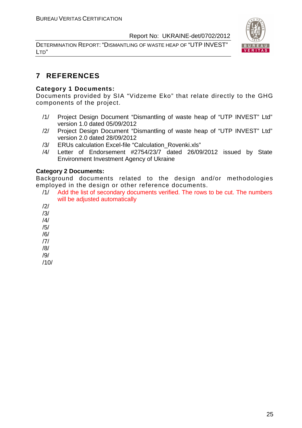DETERMINATION REPORT: "DISMANTLING OF WASTE HEAP OF "UTP INVEST" LTD"



# **7 REFERENCES**

#### **Category 1 Documents:**

Documents provided by SIA "Vidzeme Eko" that relate directly to the GHG components of the project.

- /1/ Project Design Document "Dismantling of waste heap of "UTP INVEST" Ltd" version 1.0 dated 05/09/2012
- /2/ Project Design Document "Dismantling of waste heap of "UTP INVEST" Ltd" version 2.0 dated 28/09/2012
- /3/ ERUs calculation Excel-file "Calculation\_Rovenki.xls"
- /4/ Letter of Endorsement #2754/23/7 dated 26/09/2012 issued by State Environment Investment Agency of Ukraine

#### **Category 2 Documents:**

Background documents related to the design and/or methodologies employed in the design or other reference documents.

- /1/ Add the list of secondary documents verified. The rows to be cut. The numbers will be adiusted automatically
- /2/
- /3/
- /4/
- /5/
- /6/
- /7/
- /8/
- /9/

/10/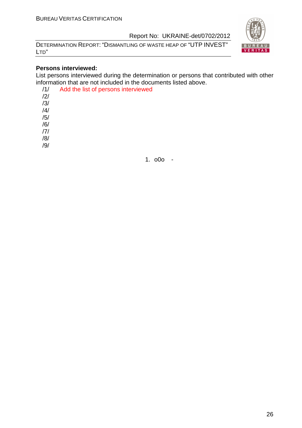DETERMINATION REPORT: "DISMANTLING OF WASTE HEAP OF "UTP INVEST" LTD"



#### **Persons interviewed:**

List persons interviewed during the determination or persons that contributed with other information that are not included in the documents listed above.

| /1/            | Add the list of persons interviewed |
|----------------|-------------------------------------|
| $\frac{12}{1}$ |                                     |
| /3/            |                                     |
| /4/            |                                     |
| /5/            |                                     |
| /6/            |                                     |
| 7              |                                     |
| /8/            |                                     |
|                |                                     |
|                |                                     |

1. o0o -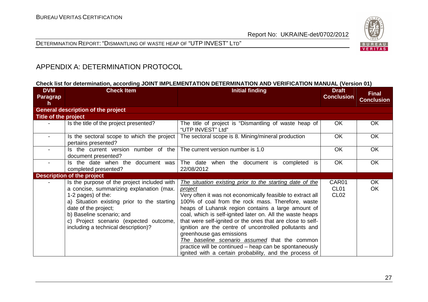

DETERMINATION REPORT: "DISMANTLING OF WASTE HEAP OF "UTP INVEST" <sup>L</sup>TD"

# APPENDIX A: DETERMINATION PROTOCOL

#### **Check list for determination, according JOINT IMPLEMENTATION DETERMINATION AND VERIFICATION MANUAL (Version 01)**

| <b>DVM</b><br>Paragrap<br>h | <b>Check Item</b>                                                                                                                                                                                                                                                                                  | <b>Initial finding</b>                                                                                                                                                                                                                                                                                                                                                                                                                                                                                                                                                                                                                    | <b>Draft</b><br><b>Conclusion</b>             | <b>Final</b><br><b>Conclusion</b> |
|-----------------------------|----------------------------------------------------------------------------------------------------------------------------------------------------------------------------------------------------------------------------------------------------------------------------------------------------|-------------------------------------------------------------------------------------------------------------------------------------------------------------------------------------------------------------------------------------------------------------------------------------------------------------------------------------------------------------------------------------------------------------------------------------------------------------------------------------------------------------------------------------------------------------------------------------------------------------------------------------------|-----------------------------------------------|-----------------------------------|
|                             | <b>General description of the project</b>                                                                                                                                                                                                                                                          |                                                                                                                                                                                                                                                                                                                                                                                                                                                                                                                                                                                                                                           |                                               |                                   |
| Title of the project        |                                                                                                                                                                                                                                                                                                    |                                                                                                                                                                                                                                                                                                                                                                                                                                                                                                                                                                                                                                           |                                               |                                   |
|                             | Is the title of the project presented?                                                                                                                                                                                                                                                             | The title of project is "Dismantling of waste heap of<br>"UTP INVEST" Ltd"                                                                                                                                                                                                                                                                                                                                                                                                                                                                                                                                                                | <b>OK</b>                                     | OK                                |
|                             | Is the sectoral scope to which the project<br>pertains presented?                                                                                                                                                                                                                                  | The sectoral scope is 8. Mining/mineral production                                                                                                                                                                                                                                                                                                                                                                                                                                                                                                                                                                                        | <b>OK</b>                                     | <b>OK</b>                         |
|                             | Is the current version number of the<br>document presented?                                                                                                                                                                                                                                        | The current version number is 1.0                                                                                                                                                                                                                                                                                                                                                                                                                                                                                                                                                                                                         | <b>OK</b>                                     | <b>OK</b>                         |
|                             | Is the date when the document was<br>completed presented?                                                                                                                                                                                                                                          | The date when the document is<br>completed is<br>22/08/2012                                                                                                                                                                                                                                                                                                                                                                                                                                                                                                                                                                               | OK                                            | OK                                |
|                             | <b>Description of the project</b>                                                                                                                                                                                                                                                                  |                                                                                                                                                                                                                                                                                                                                                                                                                                                                                                                                                                                                                                           |                                               |                                   |
|                             | Is the purpose of the project included with<br>a concise, summarizing explanation (max.<br>1-2 pages) of the:<br>a) Situation existing prior to the starting<br>date of the project;<br>b) Baseline scenario; and<br>c) Project scenario (expected outcome,<br>including a technical description)? | The situation existing prior to the starting date of the<br><u>project</u><br>Very often it was not economically feasible to extract all<br>100% of coal from the rock mass. Therefore, waste<br>heaps of Luhansk region contains a large amount of<br>coal, which is self-ignited later on. All the waste heaps<br>that were self-ignited or the ones that are close to self-<br>ignition are the centre of uncontrolled pollutants and<br>greenhouse gas emissions<br>The baseline scenario assumed that the common<br>practice will be continued – heap can be spontaneously<br>ignited with a certain probability, and the process of | CAR01<br>CL <sub>01</sub><br>CL <sub>02</sub> | OK<br>OK.                         |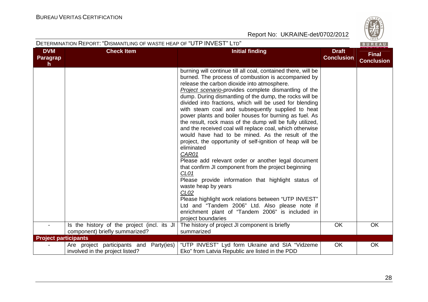

|                              | DETERMINATION REPORT: "DISMANTLING OF WASTE HEAP OF "UTP INVEST" LTD"<br>BUREAU |                                                                                                                                                                                                                                                                                                                                                                                                                                                                                                                                                                                                                                                                                                                                                                                                                                                                                                                                                                                                                                                                                                                                                             |                                   |                                   |  |
|------------------------------|---------------------------------------------------------------------------------|-------------------------------------------------------------------------------------------------------------------------------------------------------------------------------------------------------------------------------------------------------------------------------------------------------------------------------------------------------------------------------------------------------------------------------------------------------------------------------------------------------------------------------------------------------------------------------------------------------------------------------------------------------------------------------------------------------------------------------------------------------------------------------------------------------------------------------------------------------------------------------------------------------------------------------------------------------------------------------------------------------------------------------------------------------------------------------------------------------------------------------------------------------------|-----------------------------------|-----------------------------------|--|
| <b>DVM</b><br>Paragrap<br>h. | <b>Check Item</b>                                                               | <b>Initial finding</b>                                                                                                                                                                                                                                                                                                                                                                                                                                                                                                                                                                                                                                                                                                                                                                                                                                                                                                                                                                                                                                                                                                                                      | <b>Draft</b><br><b>Conclusion</b> | <b>Final</b><br><b>Conclusion</b> |  |
|                              |                                                                                 | burning will continue till all coal, contained there, will be<br>burned. The process of combustion is accompanied by<br>release the carbon dioxide into atmosphere.<br>Project scenario-provides complete dismantling of the<br>dump. During dismantling of the dump, the rocks will be<br>divided into fractions, which will be used for blending<br>with steam coal and subsequently supplied to heat<br>power plants and boiler houses for burning as fuel. As<br>the result, rock mass of the dump will be fully utilized,<br>and the received coal will replace coal, which otherwise<br>would have had to be mined. As the result of the<br>project, the opportunity of self-ignition of heap will be<br>eliminated<br>CAR01<br>Please add relevant order or another legal document<br>that confirm JI component from the project beginning<br>CL <sub>01</sub><br>Please provide information that highlight status of<br>waste heap by years<br>CL <sub>02</sub><br>Please highlight work relations between "UTP INVEST"<br>Ltd and "Tandem 2006" Ltd. Also please note if<br>enrichment plant of "Tandem 2006" is included in<br>project boundaries |                                   |                                   |  |
|                              | Is the history of the project (incl. its JI<br>component) briefly summarized?   | The history of project JI component is briefly<br>summarized                                                                                                                                                                                                                                                                                                                                                                                                                                                                                                                                                                                                                                                                                                                                                                                                                                                                                                                                                                                                                                                                                                | <b>OK</b>                         | <b>OK</b>                         |  |
| <b>Project participants</b>  |                                                                                 |                                                                                                                                                                                                                                                                                                                                                                                                                                                                                                                                                                                                                                                                                                                                                                                                                                                                                                                                                                                                                                                                                                                                                             |                                   |                                   |  |
|                              | Are project participants and Party(ies)<br>involved in the project listed?      | "UTP INVEST" Lyd form Ukraine and SIA "Vidzeme"<br>Eko" from Latvia Republic are listed in the PDD                                                                                                                                                                                                                                                                                                                                                                                                                                                                                                                                                                                                                                                                                                                                                                                                                                                                                                                                                                                                                                                          | <b>OK</b>                         | OK                                |  |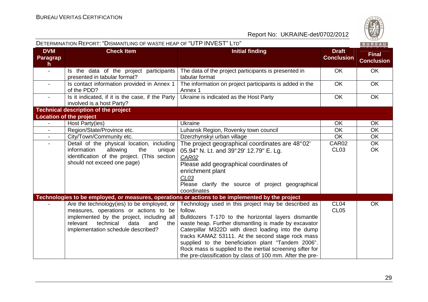

|                                        | DETERMINATION REPORT: "DISMANTLING OF WASTE HEAP OF "UTP INVEST" LTD"                                                                                                                                               |                                                                                                                                                                                                                                                                                                                                                                                                                                                                            |                                   | BUREAU                            |
|----------------------------------------|---------------------------------------------------------------------------------------------------------------------------------------------------------------------------------------------------------------------|----------------------------------------------------------------------------------------------------------------------------------------------------------------------------------------------------------------------------------------------------------------------------------------------------------------------------------------------------------------------------------------------------------------------------------------------------------------------------|-----------------------------------|-----------------------------------|
| <b>DVM</b><br>Paragrap<br>$\mathsf{h}$ | <b>Check Item</b>                                                                                                                                                                                                   | <b>Initial finding</b>                                                                                                                                                                                                                                                                                                                                                                                                                                                     | <b>Draft</b><br><b>Conclusion</b> | <b>Final</b><br><b>Conclusion</b> |
| $\blacksquare$                         | Is the data of the project participants<br>presented in tabular format?                                                                                                                                             | The data of the project participants is presented in<br>tabular format                                                                                                                                                                                                                                                                                                                                                                                                     | <b>OK</b>                         | <b>OK</b>                         |
| $\sim$                                 | Is contact information provided in Annex 1<br>of the PDD?                                                                                                                                                           | The information on project participants is added in the<br>Annex 1                                                                                                                                                                                                                                                                                                                                                                                                         | <b>OK</b>                         | <b>OK</b>                         |
| $\blacksquare$                         | Is it indicated, if it is the case, if the Party<br>involved is a host Party?                                                                                                                                       | Ukraine is indicated as the Host Party                                                                                                                                                                                                                                                                                                                                                                                                                                     | <b>OK</b>                         | OK                                |
|                                        | <b>Technical description of the project</b>                                                                                                                                                                         |                                                                                                                                                                                                                                                                                                                                                                                                                                                                            |                                   |                                   |
|                                        | <b>Location of the project</b>                                                                                                                                                                                      |                                                                                                                                                                                                                                                                                                                                                                                                                                                                            |                                   |                                   |
| $\blacksquare$                         | Host Party(ies)                                                                                                                                                                                                     | Ukraine                                                                                                                                                                                                                                                                                                                                                                                                                                                                    | OK                                | <b>OK</b>                         |
| $\blacksquare$                         | Region/State/Province etc.                                                                                                                                                                                          | Luhansk Region, Rovenky town council                                                                                                                                                                                                                                                                                                                                                                                                                                       | <b>OK</b>                         | <b>OK</b>                         |
|                                        | City/Town/Community etc.                                                                                                                                                                                            | Dzerzhynskyi urban village                                                                                                                                                                                                                                                                                                                                                                                                                                                 | OK                                | <b>OK</b>                         |
|                                        | Detail of the physical location, including                                                                                                                                                                          | The project geographical coordinates are 48°02'                                                                                                                                                                                                                                                                                                                                                                                                                            | CAR02                             | <b>OK</b>                         |
|                                        | information<br>allowing<br>the<br>unique<br>identification of the project. (This section<br>should not exceed one page)                                                                                             | 05.94" N. Lt. and 39°29' 12.79" E. Lg.<br>CAR02<br>Please add geographical coordinates of<br>enrichment plant<br>CL <sub>03</sub><br>Please clarify the source of project geographical<br>coordinates                                                                                                                                                                                                                                                                      | CL <sub>03</sub>                  | <b>OK</b>                         |
|                                        |                                                                                                                                                                                                                     | Technologies to be employed, or measures, operations or actions to be implemented by the project                                                                                                                                                                                                                                                                                                                                                                           |                                   |                                   |
|                                        | Are the technology (ies) to be employed, or<br>measures, operations or actions to be<br>implemented by the project, including all<br>relevant technical<br>data<br>and<br>the<br>implementation schedule described? | Technology used in this project may be described as<br>follow.<br>Bulldozers T-170 to the horizontal layers dismantle<br>waste heap. Further dismantling is made by excavator<br>Caterpillar M322D with direct loading into the dump<br>tracks KAMAZ 53111. At the second stage rock mass<br>supplied to the beneficiation plant "Tandem 2006".<br>Rock mass is supplied to the inertial screening sifter for<br>the pre-classification by class of 100 mm. After the pre- | CL <sub>04</sub><br><b>CL05</b>   | <b>OK</b>                         |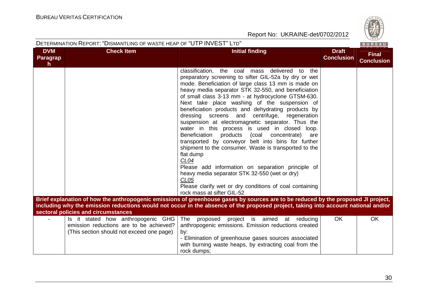

|                                    | DETERMINATION REPORT: "DISMANTLING OF WASTE HEAP OF "UTP INVEST" LTD" |                                                                                                                                                                                                                                                                                                                                                                                                                                                                                                                                                                                                                                                                                                                                                                                                                                                                                                                                                                                                                                                                                                      |                                   | BUREAU                            |
|------------------------------------|-----------------------------------------------------------------------|------------------------------------------------------------------------------------------------------------------------------------------------------------------------------------------------------------------------------------------------------------------------------------------------------------------------------------------------------------------------------------------------------------------------------------------------------------------------------------------------------------------------------------------------------------------------------------------------------------------------------------------------------------------------------------------------------------------------------------------------------------------------------------------------------------------------------------------------------------------------------------------------------------------------------------------------------------------------------------------------------------------------------------------------------------------------------------------------------|-----------------------------------|-----------------------------------|
| <b>DVM</b><br><b>Paragrap</b><br>h | <b>Check Item</b>                                                     | <b>Initial finding</b>                                                                                                                                                                                                                                                                                                                                                                                                                                                                                                                                                                                                                                                                                                                                                                                                                                                                                                                                                                                                                                                                               | <b>Draft</b><br><b>Conclusion</b> | <b>Final</b><br><b>Conclusion</b> |
|                                    |                                                                       | classification,<br>delivered to the<br>the coal mass<br>preparatory screening to sifter GIL-52a by dry or wet<br>mode. Beneficiation of large class 13 mm is made on<br>heavy media separator STK 32-550, and beneficiation<br>of small class 3-13 mm - at hydrocyclone GTSM-630.<br>Next take place washing of the suspension of<br>beneficiation products and dehydrating products by<br>centrifuge,<br>dressing screens and<br>regeneration<br>suspension at electromagnetic separator. Thus the<br>water in this process is used in closed loop.<br>Beneficiation products (coal concentrate)<br>are<br>transported by conveyor belt into bins for further<br>shipment to the consumer. Waste is transported to the<br>flat dump<br>CL04<br>Please add information on separation principle of<br>heavy media separator STK 32-550 (wet or dry)<br>CL <sub>05</sub><br>Please clarify wet or dry conditions of coal containing<br>rock mass at sifter GIL-52<br>Brief explanation of how the anthropogenic emissions of greenhouse gases by sources are to be reduced by the proposed JI project, |                                   |                                   |
|                                    | sectoral policies and circumstances                                   | including why the emission reductions would not occur in the absence of the proposed project, taking into account national and/or                                                                                                                                                                                                                                                                                                                                                                                                                                                                                                                                                                                                                                                                                                                                                                                                                                                                                                                                                                    |                                   |                                   |
|                                    | Is it stated how anthropogenic GHG                                    | The<br>project is aimed<br>proposed<br>at<br>reducing                                                                                                                                                                                                                                                                                                                                                                                                                                                                                                                                                                                                                                                                                                                                                                                                                                                                                                                                                                                                                                                | OK                                | <b>OK</b>                         |
|                                    | emission reductions are to be achieved?                               | anthropogenic emissions. Emission reductions created                                                                                                                                                                                                                                                                                                                                                                                                                                                                                                                                                                                                                                                                                                                                                                                                                                                                                                                                                                                                                                                 |                                   |                                   |
|                                    | (This section should not exceed one page)                             | by:                                                                                                                                                                                                                                                                                                                                                                                                                                                                                                                                                                                                                                                                                                                                                                                                                                                                                                                                                                                                                                                                                                  |                                   |                                   |
|                                    |                                                                       | - Elimination of greenhouse gases sources associated                                                                                                                                                                                                                                                                                                                                                                                                                                                                                                                                                                                                                                                                                                                                                                                                                                                                                                                                                                                                                                                 |                                   |                                   |
|                                    |                                                                       | with burning waste heaps, by extracting coal from the                                                                                                                                                                                                                                                                                                                                                                                                                                                                                                                                                                                                                                                                                                                                                                                                                                                                                                                                                                                                                                                |                                   |                                   |
|                                    |                                                                       | rock dumps;                                                                                                                                                                                                                                                                                                                                                                                                                                                                                                                                                                                                                                                                                                                                                                                                                                                                                                                                                                                                                                                                                          |                                   |                                   |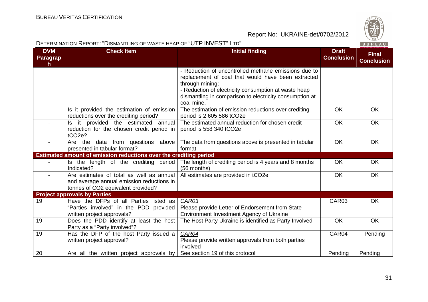

| DETERMINATION REPORT: "DISMANTLING OF WASTE HEAP OF "UTP INVEST" LTD" |                                                                                                                             |                                                                                                                                                                                                                                                                |                                   | BUREAU                            |
|-----------------------------------------------------------------------|-----------------------------------------------------------------------------------------------------------------------------|----------------------------------------------------------------------------------------------------------------------------------------------------------------------------------------------------------------------------------------------------------------|-----------------------------------|-----------------------------------|
| <b>DVM</b><br>Paragrap<br>$\mathsf{h}$                                | <b>Check Item</b>                                                                                                           | <b>Initial finding</b>                                                                                                                                                                                                                                         | <b>Draft</b><br><b>Conclusion</b> | <b>Final</b><br><b>Conclusion</b> |
|                                                                       |                                                                                                                             | - Reduction of uncontrolled methane emissions due to<br>replacement of coal that would have been extracted<br>through mining;<br>- Reduction of electricity consumption at waste heap<br>dismantling in comparison to electricity consumption at<br>coal mine. |                                   |                                   |
|                                                                       | Is it provided the estimation of emission<br>reductions over the crediting period?                                          | The estimation of emission reductions over crediting<br>period is 2 605 586 tCO2e                                                                                                                                                                              | OK                                | <b>OK</b>                         |
|                                                                       | Is it provided the estimated annual<br>reduction for the chosen credit period in<br>tCO <sub>2e</sub> ?                     | The estimated annual reduction for chosen credit<br>period is 558 340 tCO2e                                                                                                                                                                                    | <b>OK</b>                         | <b>OK</b>                         |
|                                                                       | Are the data from questions above<br>presented in tabular format?                                                           | The data from questions above is presented in tabular<br>format                                                                                                                                                                                                | <b>OK</b>                         | <b>OK</b>                         |
|                                                                       | Estimated amount of emission reductions over the crediting period                                                           |                                                                                                                                                                                                                                                                |                                   |                                   |
|                                                                       | Is the length of the crediting period<br>Indicated?                                                                         | The length of crediting period is 4 years and 8 months<br>(56 months)                                                                                                                                                                                          | <b>OK</b>                         | <b>OK</b>                         |
| $\blacksquare$                                                        | Are estimates of total as well as annual<br>and average annual emission reductions in<br>tonnes of CO2 equivalent provided? | All estimates are provided in tCO2e                                                                                                                                                                                                                            | <b>OK</b>                         | <b>OK</b>                         |
|                                                                       | <b>Project approvals by Parties</b>                                                                                         |                                                                                                                                                                                                                                                                |                                   |                                   |
| 19                                                                    | Have the DFPs of all Parties listed as<br>"Parties involved" in the PDD provided<br>written project approvals?              | CAR03<br>Please provide Letter of Endorsement from State<br>Environment Investment Agency of Ukraine                                                                                                                                                           | CAR03                             | <b>OK</b>                         |
| 19                                                                    | Does the PDD identify at least the host<br>Party as a "Party involved"?                                                     | The Host Party Ukraine is identified as Party Involved                                                                                                                                                                                                         | OK                                | <b>OK</b>                         |
| 19                                                                    | Has the DFP of the host Party issued a<br>written project approval?                                                         | CAR04<br>Please provide written approvals from both parties<br>involved                                                                                                                                                                                        | CAR04                             | Pending                           |
| $\overline{20}$                                                       | Are all the written project approvals by                                                                                    | See section 19 of this protocol                                                                                                                                                                                                                                | Pending                           | Pending                           |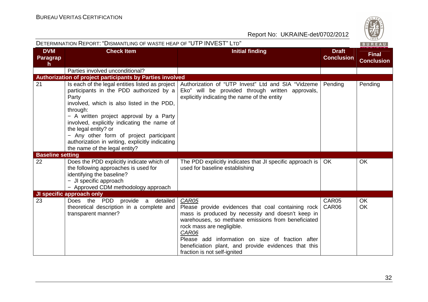|                                     | DETERMINATION REPORT: "DISMANTLING OF WASTE HEAP OF "UTP INVEST" LTD"                                                                                                                                                                                                                                                                                                                                          |                                                                                                                                                                                                                                                                                                                                                          |                                   | BUREAU                            |
|-------------------------------------|----------------------------------------------------------------------------------------------------------------------------------------------------------------------------------------------------------------------------------------------------------------------------------------------------------------------------------------------------------------------------------------------------------------|----------------------------------------------------------------------------------------------------------------------------------------------------------------------------------------------------------------------------------------------------------------------------------------------------------------------------------------------------------|-----------------------------------|-----------------------------------|
| <b>DVM</b><br><b>Paragrap</b><br>h. | <b>Check Item</b>                                                                                                                                                                                                                                                                                                                                                                                              | <b>Initial finding</b>                                                                                                                                                                                                                                                                                                                                   | <b>Draft</b><br><b>Conclusion</b> | <b>Final</b><br><b>Conclusion</b> |
|                                     | Parties involved unconditional?                                                                                                                                                                                                                                                                                                                                                                                |                                                                                                                                                                                                                                                                                                                                                          |                                   |                                   |
|                                     | Authorization of project participants by Parties involved                                                                                                                                                                                                                                                                                                                                                      |                                                                                                                                                                                                                                                                                                                                                          |                                   |                                   |
| 21                                  | Is each of the legal entities listed as project<br>participants in the PDD authorized by a<br>Party<br>involved, which is also listed in the PDD,<br>through:<br>- A written project approval by a Party<br>involved, explicitly indicating the name of<br>the legal entity? or<br>- Any other form of project participant<br>authorization in writing, explicitly indicating<br>the name of the legal entity? | Authorization of "UTP Invest" Ltd and SIA "Vidzeme<br>Eko" will be provided through written approvals,<br>explicitly indicating the name of the entity                                                                                                                                                                                                   | Pending                           | Pending                           |
| <b>Baseline setting</b>             |                                                                                                                                                                                                                                                                                                                                                                                                                |                                                                                                                                                                                                                                                                                                                                                          |                                   |                                   |
| 22                                  | Does the PDD explicitly indicate which of<br>the following approaches is used for<br>identifying the baseline?<br>- JI specific approach<br>- Approved CDM methodology approach                                                                                                                                                                                                                                | The PDD explicitly indicates that JI specific approach is<br>used for baseline establishing                                                                                                                                                                                                                                                              | OK                                | <b>OK</b>                         |
|                                     | JI specific approach only                                                                                                                                                                                                                                                                                                                                                                                      |                                                                                                                                                                                                                                                                                                                                                          |                                   |                                   |
| 23                                  | Does the PDD provide a<br>detailed<br>theoretical description in a complete and<br>transparent manner?                                                                                                                                                                                                                                                                                                         | CAR05<br>Please provide evidences that coal containing rock<br>mass is produced by necessity and doesn't keep in<br>warehouses, so methane emissions from beneficiated<br>rock mass are negligible.<br>CAR06<br>Please add information on size of fraction after<br>beneficiation plant, and provide evidences that this<br>fraction is not self-ignited | CAR05<br>CAR06                    | OK<br><b>OK</b>                   |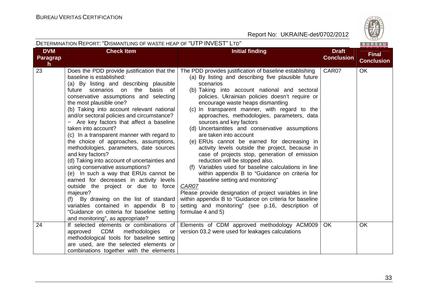

|                              | DETERMINATION REPORT: "DISMANTLING OF WASTE HEAP OF "UTP INVEST" LTD"                                                                                                                                                                                                                                                                                                                                                                                                                                                                                                                                                                                                                                                                                                                                                                                                                                                                          |                                                                                                                                                                                                                                                                                                                                                                                                                                                                                                                                                                                                                                                                                                                                                                                                                                                                                                                                                                                                                           |                                   |                                   |
|------------------------------|------------------------------------------------------------------------------------------------------------------------------------------------------------------------------------------------------------------------------------------------------------------------------------------------------------------------------------------------------------------------------------------------------------------------------------------------------------------------------------------------------------------------------------------------------------------------------------------------------------------------------------------------------------------------------------------------------------------------------------------------------------------------------------------------------------------------------------------------------------------------------------------------------------------------------------------------|---------------------------------------------------------------------------------------------------------------------------------------------------------------------------------------------------------------------------------------------------------------------------------------------------------------------------------------------------------------------------------------------------------------------------------------------------------------------------------------------------------------------------------------------------------------------------------------------------------------------------------------------------------------------------------------------------------------------------------------------------------------------------------------------------------------------------------------------------------------------------------------------------------------------------------------------------------------------------------------------------------------------------|-----------------------------------|-----------------------------------|
| <b>DVM</b><br>Paragrap<br>h. | <b>Check Item</b>                                                                                                                                                                                                                                                                                                                                                                                                                                                                                                                                                                                                                                                                                                                                                                                                                                                                                                                              | <b>Initial finding</b>                                                                                                                                                                                                                                                                                                                                                                                                                                                                                                                                                                                                                                                                                                                                                                                                                                                                                                                                                                                                    | <b>Draft</b><br><b>Conclusion</b> | <b>Final</b><br><b>Conclusion</b> |
| 23                           | Does the PDD provide justification that the<br>baseline is established:<br>(a) By listing and describing plausible<br>future scenarios on the basis of<br>conservative assumptions and selecting<br>the most plausible one?<br>(b) Taking into account relevant national<br>and/or sectoral policies and circumstance?<br>- Are key factors that affect a baseline<br>taken into account?<br>(c) In a transparent manner with regard to<br>the choice of approaches, assumptions,<br>methodologies, parameters, date sources<br>and key factors?<br>(d) Taking into account of uncertainties and<br>using conservative assumptions?<br>(e) In such a way that ERUs cannot be<br>earned for decreases in activity levels<br>outside the project or due to force<br>majeure?<br>(f) By drawing on the list of standard<br>variables contained in appendix B to<br>"Guidance on criteria for baseline setting<br>and monitoring", as appropriate? | The PDD provides justification of baseline establishing<br>(a) By listing and describing five plausible future<br>scenarios<br>(b) Taking into account national and sectoral<br>policies. Ukrainian policies doesn't require or<br>encourage waste heaps dismantling<br>(c) In transparent manner, with regard to the<br>approaches, methodologies, parameters, data<br>sources and key factors<br>(d) Uncertaintites and conservative assumptions<br>are taken into account<br>(e) ERUs cannot be earned for decreasing in<br>activity levels outside the project, because in<br>case of projects stop, generation of emission<br>reduction will be stopped also.<br>(f) Variables used for baseline calculations in line<br>within appendix B to "Guidance on criteria for<br>baseline setting and monitoring"<br>CAR07<br>Please provide designation of project variables in line<br>within appendix B to "Guidance on criteria for baseline<br>setting and monitoring" (see p.16, description of<br>formulae 4 and 5) | CAR07                             | <b>OK</b>                         |
| 24                           | If selected elements or combinations of<br>CDM<br>approved<br>methodologies<br>or<br>methodological tools for baseline setting<br>are used, are the selected elements or<br>combinations together with the elements                                                                                                                                                                                                                                                                                                                                                                                                                                                                                                                                                                                                                                                                                                                            | Elements of CDM approved methodology ACM009<br>version 03.2 were used for leakages calculations                                                                                                                                                                                                                                                                                                                                                                                                                                                                                                                                                                                                                                                                                                                                                                                                                                                                                                                           | OK.                               | <b>OK</b>                         |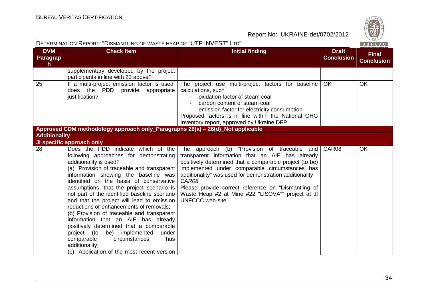|                                        | DETERMINATION REPORT: "DISMANTLING OF WASTE HEAP OF "UTP INVEST" LTD"                                                                                                                                                                                                                                                                                                                                                                                                                                                                                                                                                                                                                                       |                                                                                                                                                                                                                                                                                                                                                                                                                        |                                   | BUREAU                            |
|----------------------------------------|-------------------------------------------------------------------------------------------------------------------------------------------------------------------------------------------------------------------------------------------------------------------------------------------------------------------------------------------------------------------------------------------------------------------------------------------------------------------------------------------------------------------------------------------------------------------------------------------------------------------------------------------------------------------------------------------------------------|------------------------------------------------------------------------------------------------------------------------------------------------------------------------------------------------------------------------------------------------------------------------------------------------------------------------------------------------------------------------------------------------------------------------|-----------------------------------|-----------------------------------|
| <b>DVM</b><br>Paragrap<br>$\mathsf{h}$ | <b>Check Item</b>                                                                                                                                                                                                                                                                                                                                                                                                                                                                                                                                                                                                                                                                                           | <b>Initial finding</b>                                                                                                                                                                                                                                                                                                                                                                                                 | <b>Draft</b><br><b>Conclusion</b> | <b>Final</b><br><b>Conclusion</b> |
|                                        | supplementary developed by the project<br>participants in line with 23 above?                                                                                                                                                                                                                                                                                                                                                                                                                                                                                                                                                                                                                               |                                                                                                                                                                                                                                                                                                                                                                                                                        |                                   |                                   |
| 25                                     | If a multi-project emission factor is used,<br>does the PDD provide appropriate<br>justification?                                                                                                                                                                                                                                                                                                                                                                                                                                                                                                                                                                                                           | The project use multi-project factors for baseline<br>calculations, such<br>oxidation factor of steam coal<br>carbon content of steam coal<br>emission factor for electricity consumption<br>Proposed factors is in line within the National GHG<br>Inventory report, approved by Ukraine DFP                                                                                                                          | <b>OK</b>                         | <b>OK</b>                         |
|                                        | Approved CDM methodology approach only_Paragraphs 26(a) - 26(d)_Not applicable                                                                                                                                                                                                                                                                                                                                                                                                                                                                                                                                                                                                                              |                                                                                                                                                                                                                                                                                                                                                                                                                        |                                   |                                   |
| <b>Additionality</b>                   |                                                                                                                                                                                                                                                                                                                                                                                                                                                                                                                                                                                                                                                                                                             |                                                                                                                                                                                                                                                                                                                                                                                                                        |                                   |                                   |
|                                        | JI specific approach only                                                                                                                                                                                                                                                                                                                                                                                                                                                                                                                                                                                                                                                                                   |                                                                                                                                                                                                                                                                                                                                                                                                                        |                                   |                                   |
| 28                                     | Does the PDD indicate which of the<br>following approaches for demonstrating<br>additionality is used?<br>(a) Provision of traceable and transparent<br>information showing the baseline was<br>identified on the basis of conservative<br>assumptions, that the project scenario is<br>not part of the identified baseline scenario<br>and that the project will lead to emission<br>reductions or enhancements of removals;<br>(b) Provision of traceable and transparent<br>information that an AIE has already<br>positively determined that a comparable<br>project (to be) implemented<br>under<br>circumstances<br>has<br>comparable<br>additionality;<br>(c) Application of the most recent version | The approach (b) "Provision of traceable and<br>transparent information that an AIE has already<br>positively determined that a comparable project (to be)<br>implemented under comparable circumstances has<br>additionality" was used for demonstration additionality<br>CAR08<br>Please provide correct reference on "Dismantling of<br>Waste Heap #2 at Mine #22 "LISOVA"" project at JI<br><b>UNFCCC</b> web-site | CAR08                             | <b>OK</b>                         |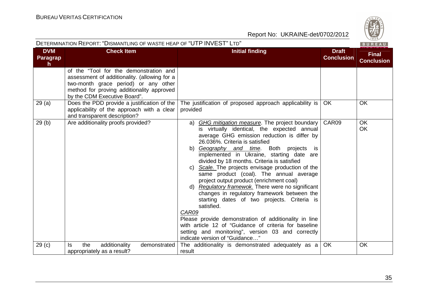

| DETERMINATION REPORT: "DISMANTLING OF WASTE HEAP OF "UTP INVEST" LTD"<br>BUREAU |                                                                                                                                                                                                             |                                                                                                                                                                                                                                                                                                                                                                                                                                                                                                                                                                                                                                                                                                                                                                                                                                                              |                                   |                                   |
|---------------------------------------------------------------------------------|-------------------------------------------------------------------------------------------------------------------------------------------------------------------------------------------------------------|--------------------------------------------------------------------------------------------------------------------------------------------------------------------------------------------------------------------------------------------------------------------------------------------------------------------------------------------------------------------------------------------------------------------------------------------------------------------------------------------------------------------------------------------------------------------------------------------------------------------------------------------------------------------------------------------------------------------------------------------------------------------------------------------------------------------------------------------------------------|-----------------------------------|-----------------------------------|
| <b>DVM</b><br>Paragrap<br>$\mathsf{h}$                                          | <b>Check Item</b>                                                                                                                                                                                           | <b>Initial finding</b>                                                                                                                                                                                                                                                                                                                                                                                                                                                                                                                                                                                                                                                                                                                                                                                                                                       | <b>Draft</b><br><b>Conclusion</b> | <b>Final</b><br><b>Conclusion</b> |
|                                                                                 | of the "Tool for the demonstration and<br>assessment of additionality. (allowing for a<br>two-month grace period) or any other<br>method for proving additionality approved<br>by the CDM Executive Board". |                                                                                                                                                                                                                                                                                                                                                                                                                                                                                                                                                                                                                                                                                                                                                                                                                                                              |                                   |                                   |
| 29(a)                                                                           | Does the PDD provide a justification of the<br>applicability of the approach with a clear<br>and transparent description?                                                                                   | The justification of proposed approach applicability is<br>provided                                                                                                                                                                                                                                                                                                                                                                                                                                                                                                                                                                                                                                                                                                                                                                                          | OK.                               | OK                                |
| 29(b)                                                                           | Are additionality proofs provided?                                                                                                                                                                          | a) GHG mitigation measure. The project boundary<br>is virtually identical, the expected annual<br>average GHG emission reduction is differ by<br>26.036%. Criteria is satisfied<br>b) Geography and time. Both projects<br><b>is</b><br>implemented in Ukraine, starting date are<br>divided by 18 months. Criteria is satisfied<br>Scale. The projects envisage production of the<br>same product (coal). The annual average<br>project output product (enrichment coal)<br>d) Regulatory framewok. There were no significant<br>changes in regulatory framework between the<br>starting dates of two projects. Criteria is<br>satisfied.<br>CAR09<br>Please provide demonstration of additionality in line<br>with article 12 of "Guidance of criteria for baseline<br>setting and monitoring", version 03 and correctly<br>indicate version of "Guidance" | CAR09                             | <b>OK</b><br>OK                   |
| 29 <sub>(c)</sub>                                                               | the<br>additionality<br>demonstrated<br>ls.<br>appropriately as a result?                                                                                                                                   | The additionality is demonstrated adequately as a<br>result                                                                                                                                                                                                                                                                                                                                                                                                                                                                                                                                                                                                                                                                                                                                                                                                  | <b>OK</b>                         | OK                                |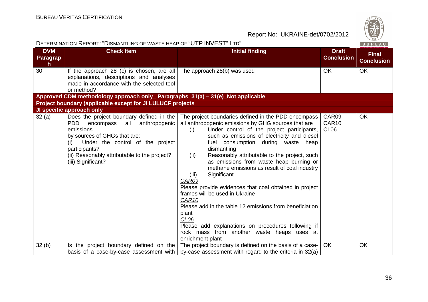|                                        | DETERMINATION REPORT: "DISMANTLING OF WASTE HEAP OF "UTP INVEST" LTD"                                                                                                                                                                                                                                   |                                                                                                                                                                                                                                                                                                                                                                                                                                                                                                                                                                                                                                                                                                                                                                              | BUREAU                             |                                   |
|----------------------------------------|---------------------------------------------------------------------------------------------------------------------------------------------------------------------------------------------------------------------------------------------------------------------------------------------------------|------------------------------------------------------------------------------------------------------------------------------------------------------------------------------------------------------------------------------------------------------------------------------------------------------------------------------------------------------------------------------------------------------------------------------------------------------------------------------------------------------------------------------------------------------------------------------------------------------------------------------------------------------------------------------------------------------------------------------------------------------------------------------|------------------------------------|-----------------------------------|
| <b>DVM</b><br>Paragrap<br>$\mathsf{h}$ | <b>Check Item</b>                                                                                                                                                                                                                                                                                       | <b>Initial finding</b>                                                                                                                                                                                                                                                                                                                                                                                                                                                                                                                                                                                                                                                                                                                                                       | <b>Draft</b><br><b>Conclusion</b>  | <b>Final</b><br><b>Conclusion</b> |
| 30                                     | If the approach 28 (c) is chosen, are all<br>explanations, descriptions and analyses<br>made in accordance with the selected tool<br>or method?                                                                                                                                                         | The approach 28(b) was used                                                                                                                                                                                                                                                                                                                                                                                                                                                                                                                                                                                                                                                                                                                                                  | <b>OK</b>                          | <b>OK</b>                         |
|                                        | Approved CDM methodology approach only_ Paragraphs 31(a) – 31(e)_Not applicable                                                                                                                                                                                                                         |                                                                                                                                                                                                                                                                                                                                                                                                                                                                                                                                                                                                                                                                                                                                                                              |                                    |                                   |
|                                        | Project boundary (applicable except for JI LULUCF projects                                                                                                                                                                                                                                              |                                                                                                                                                                                                                                                                                                                                                                                                                                                                                                                                                                                                                                                                                                                                                                              |                                    |                                   |
| 32(a)                                  | JI specific approach only<br>Does the project boundary defined in the<br>anthropogenic<br><b>PDD</b><br>all<br>encompass<br>emissions<br>by sources of GHGs that are:<br>Under the control of the project<br>(i)<br>participants?<br>(ii) Reasonably attributable to the project?<br>(iii) Significant? | The project boundaries defined in the PDD encompass<br>all anthropogenic emissions by GHG sources that are<br>Under control of the project participants,<br>(i)<br>such as emissions of electricity and diesel<br>fuel consumption during waste heap<br>dismantling<br>Reasonably attributable to the project, such<br>(ii)<br>as emissions from waste heap burning or<br>methane emissions as result of coal industry<br>Significant<br>(iii)<br>CAR09<br>Please provide evidences that coal obtained in project<br>frames will be used in Ukraine<br>CAR10<br>Please add in the table 12 emissions from beneficiation<br>plant<br>CL <sub>06</sub><br>Please add explanations on procedures following if<br>rock mass from another waste heaps uses at<br>enrichment plant | CAR09<br>CAR10<br>CL <sub>06</sub> | <b>OK</b>                         |
| 32(b)                                  | Is the project boundary defined on the                                                                                                                                                                                                                                                                  | The project boundary is defined on the basis of a case-                                                                                                                                                                                                                                                                                                                                                                                                                                                                                                                                                                                                                                                                                                                      | <b>OK</b>                          | <b>OK</b>                         |
|                                        | basis of a case-by-case assessment with                                                                                                                                                                                                                                                                 | by-case assessment with regard to the criteria in 32(a)                                                                                                                                                                                                                                                                                                                                                                                                                                                                                                                                                                                                                                                                                                                      |                                    |                                   |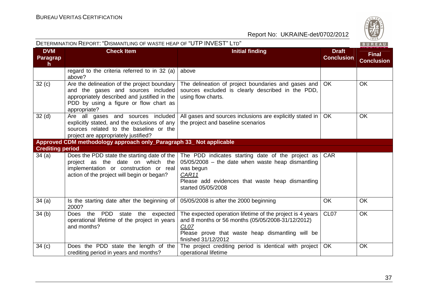**Contract Contract Contract** 

| DETERMINATION REPORT: "DISMANTLING OF WASTE HEAP OF "UTP INVEST" LTD" |                                                                                                                                                                                             |                                                                                                                                                                                                               | BUREAU                            |                                   |
|-----------------------------------------------------------------------|---------------------------------------------------------------------------------------------------------------------------------------------------------------------------------------------|---------------------------------------------------------------------------------------------------------------------------------------------------------------------------------------------------------------|-----------------------------------|-----------------------------------|
| <b>DVM</b><br>Paragrap<br>$\mathsf{h}$                                | <b>Check Item</b>                                                                                                                                                                           | <b>Initial finding</b>                                                                                                                                                                                        | <b>Draft</b><br><b>Conclusion</b> | <b>Final</b><br><b>Conclusion</b> |
|                                                                       | regard to the criteria referred to in 32 (a)<br>above?                                                                                                                                      | above                                                                                                                                                                                                         |                                   |                                   |
| 32(c)                                                                 | Are the delineation of the project boundary<br>and the gases and sources included<br>appropriately described and justified in the<br>PDD by using a figure or flow chart as<br>appropriate? | The delineation of project boundaries and gases and<br>sources excluded is clearly described in the PDD,<br>using flow charts.                                                                                | <b>OK</b>                         | <b>OK</b>                         |
| 32 <sub>(d)</sub>                                                     | Are all gases and sources included<br>explicitly stated, and the exclusions of any<br>sources related to the baseline or the<br>project are appropriately justified?                        | All gases and sources inclusions are explicitly stated in   OK<br>the project and baseline scenarios                                                                                                          |                                   | <b>OK</b>                         |
|                                                                       | Approved CDM methodology approach only_Paragraph 33_ Not applicable                                                                                                                         |                                                                                                                                                                                                               |                                   |                                   |
| <b>Crediting period</b>                                               |                                                                                                                                                                                             |                                                                                                                                                                                                               |                                   |                                   |
| 34 (a)                                                                | Does the PDD state the starting date of the<br>project as the date on which the<br>implementation or construction or real<br>action of the project will begin or began?                     | The PDD indicates starting date of the project as<br>$05/05/2008$ – the date when waste heap dismantling<br>was begun<br>CAR11<br>Please add evidences that waste heap dismantling<br>started 05/05/2008      | <b>CAR</b>                        |                                   |
| 34(a)                                                                 | Is the starting date after the beginning of<br>2000?                                                                                                                                        | 05/05/2008 is after the 2000 beginning                                                                                                                                                                        | <b>OK</b>                         | <b>OK</b>                         |
| 34(b)                                                                 | PDD<br>Does the<br>expected<br>state<br>the<br>operational lifetime of the project in years<br>and months?                                                                                  | The expected operation lifetime of the project is 4 years<br>and 8 months or 56 months (05/05/2008-31/12/2012)<br>CL <sub>07</sub><br>Please prove that waste heap dismantling will be<br>finished 31/12/2012 | CL <sub>07</sub>                  | OK                                |
| 34(c)                                                                 | Does the PDD state the length of the<br>crediting period in years and months?                                                                                                               | The project crediting period is identical with project<br>operational lifetime                                                                                                                                | OK                                | OK                                |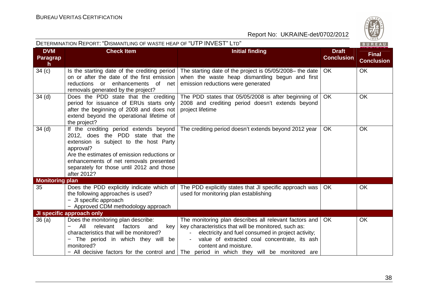**DVM Paragrap**

DETERMINATION REPORT: "DISMANTLING OF WASTE HEAP OF "UTP INVEST" <sup>L</sup>TD"



Report No: UKRAINE-det/0702/2012

| <b>DVM</b><br><b>Paragrap</b><br>h. | <b>UNECK Item</b>                                                                                                                                                                                                                                                                       | <u>Initial Tinding</u>                                                                                                                                | Dran -<br><b>Conclusion</b> | <b>Final</b><br><b>Conclusion</b> |
|-------------------------------------|-----------------------------------------------------------------------------------------------------------------------------------------------------------------------------------------------------------------------------------------------------------------------------------------|-------------------------------------------------------------------------------------------------------------------------------------------------------|-----------------------------|-----------------------------------|
| 34(c)                               | Is the starting date of the crediting period<br>on or after the date of the first emission<br>reductions or enhancements<br>of<br>net<br>removals generated by the project?                                                                                                             | The starting date of the project is 05/05/2008– the date $ $<br>when the waste heap dismantling begun and first<br>emission reductions were generated | OK.                         | <b>OK</b>                         |
| 34(d)                               | Does the PDD state that the crediting<br>period for issuance of ERUs starts only<br>after the beginning of 2008 and does not<br>extend beyond the operational lifetime of<br>the project?                                                                                               | The PDD states that $05/05/2008$ is after beginning of<br>2008 and crediting period doesn't extends beyond<br>project lifetime                        | OK.                         | OK                                |
| 34(d)                               | If the crediting period extends beyond<br>2012, does the PDD state that the<br>extension is subject to the host Party<br>approval?<br>Are the estimates of emission reductions or<br>enhancements of net removals presented<br>separately for those until 2012 and those<br>after 2012? | The crediting period doesn't extends beyond 2012 year                                                                                                 | <b>OK</b>                   | <b>OK</b>                         |
| <b>Monitoring plan</b>              |                                                                                                                                                                                                                                                                                         |                                                                                                                                                       |                             |                                   |
| 35                                  | Does the PDD explicitly indicate which of<br>the following approaches is used?<br>- JI specific approach<br>- Approved CDM methodology approach                                                                                                                                         | The PDD explicitly states that JI specific approach was  <br>used for monitoring plan establishing                                                    | OK                          | <b>OK</b>                         |
|                                     | JI specific approach only                                                                                                                                                                                                                                                               |                                                                                                                                                       |                             |                                   |
| 36(a)                               | Does the monitoring plan describe:<br>النما اممره معطمها لمحامد القا                                                                                                                                                                                                                    | The monitoring plan describes all relevant factors and<br>المنبجي المحسوبان ومجموع والطالبان فجوابه ومتلفون ومقصوص والمريز وبالراب                    | OK.                         | OK                                |

**Check Item Check Item Initial finding Check Item Initial finding Check Item Initial finding Check Item Initial finding Check Item Initial finding Check Item Initial finding Check Item Initial finding Check Item Initial fi** 

| 36 (a) | Does the monitoring plan describe:      | The monitoring plan describes all relevant factors and   OK                               | OK |
|--------|-----------------------------------------|-------------------------------------------------------------------------------------------|----|
|        | - All relevant factors and              | key   key characteristics that will be monitored, such as:                                |    |
|        | characteristics that will be monitored? | electricity and fuel consumed in project activity;                                        |    |
|        | - The period in which they will be      | value of extracted coal concentrate, its ash<br>$\sim$ 10 $\pm$                           |    |
|        | monitored?                              | content and moisture.                                                                     |    |
|        |                                         | - All decisive factors for the control and The period in which they will be monitored are |    |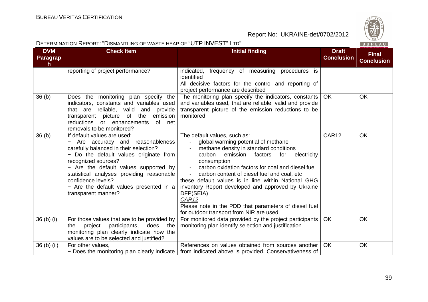

|                                     | DETERMINATION INEPURT. DISMANTEING OF WASTE HEAP OF LOTE INVESTE LID                                                                                                                                                                                                                                                                                    |                                                                                                                                                                                                                                                                                                                                                                                                                                                                                                                                                                                                            |                                   | B U K E A U                       |
|-------------------------------------|---------------------------------------------------------------------------------------------------------------------------------------------------------------------------------------------------------------------------------------------------------------------------------------------------------------------------------------------------------|------------------------------------------------------------------------------------------------------------------------------------------------------------------------------------------------------------------------------------------------------------------------------------------------------------------------------------------------------------------------------------------------------------------------------------------------------------------------------------------------------------------------------------------------------------------------------------------------------------|-----------------------------------|-----------------------------------|
| <b>DVM</b><br><b>Paragrap</b><br>h. | <b>Check Item</b>                                                                                                                                                                                                                                                                                                                                       | <b>Initial finding</b>                                                                                                                                                                                                                                                                                                                                                                                                                                                                                                                                                                                     | <b>Draft</b><br><b>Conclusion</b> | <b>Final</b><br><b>Conclusion</b> |
|                                     | reporting of project performance?                                                                                                                                                                                                                                                                                                                       | indicated, frequency of measuring procedures is<br>identified<br>All decisive factors for the control and reporting of<br>project performance are described                                                                                                                                                                                                                                                                                                                                                                                                                                                |                                   |                                   |
| 36 <sub>(b)</sub>                   | Does the monitoring plan specify the<br>indicators, constants and variables used<br>that are reliable, valid and provide<br>transparent picture of the emission<br>reductions or enhancements<br>of net<br>removals to be monitored?                                                                                                                    | The monitoring plan specify the indicators, constants<br>and variables used, that are reliable, valid and provide<br>transparent picture of the emission reductions to be<br>monitored                                                                                                                                                                                                                                                                                                                                                                                                                     | OK.                               | <b>OK</b>                         |
| 36 <sub>(b)</sub>                   | If default values are used:<br>Are accuracy and reasonableness<br>carefully balanced in their selection?<br>- Do the default values originate from<br>recognized sources?<br>- Are the default values supported by<br>statistical analyses providing reasonable<br>confidence levels?<br>- Are the default values presented in a<br>transparent manner? | The default values, such as:<br>global warming potential of methane<br>$\overline{\phantom{a}}$<br>methane density in standard conditions<br>carbon<br>emission<br>factors<br>for<br>electricity<br>consumption<br>carbon oxidation factors for coal and diesel fuel<br>$\blacksquare$<br>carbon content of diesel fuel and coal, etc<br>$\blacksquare$<br>these default values is in line within National GHG<br>inventory Report developed and approved by Ukraine<br>DFP(SEIA)<br>CAR <sub>12</sub><br>Please note in the PDD that parameters of diesel fuel<br>for outdoor transport from NIR are used | <b>CAR12</b>                      | OK                                |
| 36 (b) (i)                          | For those values that are to be provided by<br>participants,<br>does the<br>the.<br>project<br>monitoring plan clearly indicate how the<br>values are to be selected and justified?                                                                                                                                                                     | For monitored data provided by the project participants<br>monitoring plan identify selection and justification                                                                                                                                                                                                                                                                                                                                                                                                                                                                                            | OK                                | OK                                |
| 36 (b) (ii)                         | For other values,<br>$-$ Does the monitoring plan clearly indicate $\vert$                                                                                                                                                                                                                                                                              | References on values obtained from sources another<br>from indicated above is provided. Conservativeness of                                                                                                                                                                                                                                                                                                                                                                                                                                                                                                | <b>OK</b>                         | OK                                |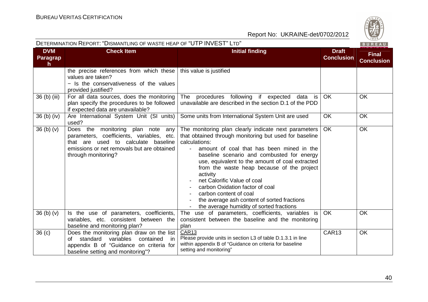

| DETERMINATION REPORT: "DISMANTLING OF WASTE HEAP OF "UTP INVEST" LTD" |                                                                                                                                                                                            |                                                                                                                                                                                                                                                                                                                                                                                                                                                                                                                                | BUREAU                            |                                   |
|-----------------------------------------------------------------------|--------------------------------------------------------------------------------------------------------------------------------------------------------------------------------------------|--------------------------------------------------------------------------------------------------------------------------------------------------------------------------------------------------------------------------------------------------------------------------------------------------------------------------------------------------------------------------------------------------------------------------------------------------------------------------------------------------------------------------------|-----------------------------------|-----------------------------------|
| <b>DVM</b><br><b>Paragrap</b><br>h                                    | <b>Check Item</b>                                                                                                                                                                          | <b>Initial finding</b>                                                                                                                                                                                                                                                                                                                                                                                                                                                                                                         | <b>Draft</b><br><b>Conclusion</b> | <b>Final</b><br><b>Conclusion</b> |
|                                                                       | the precise references from which these<br>values are taken?<br>- Is the conservativeness of the values<br>provided justified?                                                             | this value is justified                                                                                                                                                                                                                                                                                                                                                                                                                                                                                                        |                                   |                                   |
| 36 (b) (iii)                                                          | For all data sources, does the monitoring<br>plan specify the procedures to be followed<br>if expected data are unavailable?                                                               | procedures following if expected data is<br>The<br>unavailable are described in the section D.1 of the PDD                                                                                                                                                                                                                                                                                                                                                                                                                     | <b>OK</b>                         | OK                                |
| $36$ (b) (iv)                                                         | Are International System Unit (SI units)<br>used?                                                                                                                                          | Some units from International System Unit are used                                                                                                                                                                                                                                                                                                                                                                                                                                                                             | <b>OK</b>                         | <b>OK</b>                         |
| 36 <sub>(b)</sub> <sub>(v)</sub>                                      | Does the monitoring plan note any<br>parameters, coefficients, variables, etc.<br>that are used to calculate baseline<br>emissions or net removals but are obtained<br>through monitoring? | The monitoring plan clearly indicate next parameters<br>that obtained through monitoring but used for baseline<br>calculations:<br>amount of coal that has been mined in the<br>baseline scenario and combusted for energy<br>use, equivalent to the amount of coal extracted<br>from the waste heap because of the project<br>activity<br>net Calorific Value of coal<br>carbon Oxidation factor of coal<br>carbon content of coal<br>the average ash content of sorted fractions<br>the average humidity of sorted fractions | <b>OK</b>                         | OK                                |
| 36 (b) (v)                                                            | Is the use of parameters, coefficients,<br>variables, etc. consistent between the<br>baseline and monitoring plan?                                                                         | The use of parameters, coefficients, variables is<br>consistent between the baseline and the monitoring<br>plan                                                                                                                                                                                                                                                                                                                                                                                                                | OK                                | <b>OK</b>                         |
| 36 <sub>(c)</sub>                                                     | Does the monitoring plan draw on the list<br>of standard variables<br>contained<br>in<br>appendix B of "Guidance on criteria for<br>baseline setting and monitoring"?                      | CAR13<br>Please provide units in section L3 of table D.1.3.1 in line<br>within appendix B of "Guidance on criteria for baseline<br>setting and monitoring"                                                                                                                                                                                                                                                                                                                                                                     | CAR13                             | OK                                |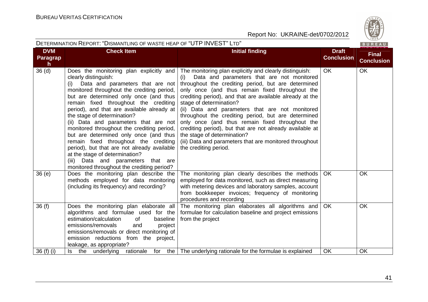

| DETERMINATION REPORT: "DISMANTLING OF WASTE HEAP OF "UTP INVEST" LTD" |  |
|-----------------------------------------------------------------------|--|
|                                                                       |  |

| <b>DVM</b><br><b>Paragrap</b>     | <b>Check Item</b>                                                                                                                                                                                                                                                                                                                                                                                                                                                                                                                                                                                                                                                       | <b>Initial finding</b>                                                                                                                                                                                                                                                                                                                                                                                                                                                                                                                                                                                                                                    | <b>Draft</b><br><b>Conclusion</b> | <b>Final</b><br><b>Conclusion</b> |
|-----------------------------------|-------------------------------------------------------------------------------------------------------------------------------------------------------------------------------------------------------------------------------------------------------------------------------------------------------------------------------------------------------------------------------------------------------------------------------------------------------------------------------------------------------------------------------------------------------------------------------------------------------------------------------------------------------------------------|-----------------------------------------------------------------------------------------------------------------------------------------------------------------------------------------------------------------------------------------------------------------------------------------------------------------------------------------------------------------------------------------------------------------------------------------------------------------------------------------------------------------------------------------------------------------------------------------------------------------------------------------------------------|-----------------------------------|-----------------------------------|
| $\mathsf{h}$<br>36 <sub>(d)</sub> | Does the monitoring plan explicitly and<br>clearly distinguish:<br>Data and parameters that are not<br>(i)<br>monitored throughout the crediting period,<br>but are determined only once (and thus<br>remain fixed throughout the crediting<br>period), and that are available already at<br>the stage of determination?<br>(ii) Data and parameters that are not<br>monitored throughout the crediting period,<br>but are determined only once (and thus<br>remain fixed throughout the crediting<br>period), but that are not already available<br>at the stage of determination?<br>(iii) Data and parameters that are<br>monitored throughout the crediting period? | The monitoring plan explicitly and clearly distinguish:<br>Data and parameters that are not monitored<br>(i)<br>throughout the crediting period, but are determined<br>only once (and thus remain fixed throughout the<br>crediting period), and that are available already at the<br>stage of determination?<br>(ii) Data and parameters that are not monitored<br>throughout the crediting period, but are determined<br>only once (and thus remain fixed throughout the<br>crediting period), but that are not already available at<br>the stage of determination?<br>(iii) Data and parameters that are monitored throughout<br>the crediting period. | OK                                | <b>OK</b>                         |
| 36(e)                             | Does the monitoring plan describe the<br>methods employed for data monitoring<br>(including its frequency) and recording?                                                                                                                                                                                                                                                                                                                                                                                                                                                                                                                                               | The monitoring plan clearly describes the methods<br>employed for data monitored, such as direct measuring<br>with metering devices and laboratory samples, account<br>from bookkeeper invoices; frequency of monitoring<br>procedures and recording                                                                                                                                                                                                                                                                                                                                                                                                      | OK.                               | <b>OK</b>                         |
| 36(f)                             | Does the monitoring plan elaborate all<br>algorithms and formulae used for the<br>estimation/calculation<br>of<br>baseline<br>emissions/removals<br>and<br>project<br>emissions/removals or direct monitoring of<br>emission reductions from the project,<br>leakage, as appropriate?                                                                                                                                                                                                                                                                                                                                                                                   | The monitoring plan elaborates all algorithms and<br>formulae for calculation baseline and project emissions<br>from the project                                                                                                                                                                                                                                                                                                                                                                                                                                                                                                                          | <b>OK</b>                         | <b>OK</b>                         |
| 36 $(f)$ $(i)$                    | Is the underlying rationale                                                                                                                                                                                                                                                                                                                                                                                                                                                                                                                                                                                                                                             | for the The underlying rationale for the formulae is explained                                                                                                                                                                                                                                                                                                                                                                                                                                                                                                                                                                                            | <b>OK</b>                         | OK                                |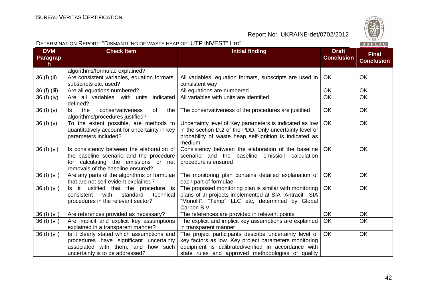

|                                               | DETERMINATION INEFORT. DISMANTEING OF WASTETIEAF OF OTT TINVEOT ETD                                                                                               |                                                                                                                                                                                                                             |                                   | <b>BUREAU</b>                     |
|-----------------------------------------------|-------------------------------------------------------------------------------------------------------------------------------------------------------------------|-----------------------------------------------------------------------------------------------------------------------------------------------------------------------------------------------------------------------------|-----------------------------------|-----------------------------------|
| <b>DVM</b><br><b>Paragrap</b><br>$\mathsf{h}$ | <b>Check Item</b>                                                                                                                                                 | <b>Initial finding</b>                                                                                                                                                                                                      | <b>Draft</b><br><b>Conclusion</b> | <b>Final</b><br><b>Conclusion</b> |
|                                               | algorithms/formulae explained?                                                                                                                                    |                                                                                                                                                                                                                             |                                   |                                   |
| 36 (f) (ii)                                   | Are consistent variables, equation formats,<br>subscripts etc. used?                                                                                              | All variables, equation formats, subscripts are used in<br>consistent way                                                                                                                                                   | OK                                | <b>OK</b>                         |
| 36 (f) (iii)                                  | Are all equations numbered?                                                                                                                                       | All equations are numbered                                                                                                                                                                                                  | <b>OK</b>                         | OK                                |
| 36 (f) (iv)                                   | Are all variables, with units indicated<br>defined?                                                                                                               | All variables with units are identified                                                                                                                                                                                     | <b>OK</b>                         | <b>OK</b>                         |
| 36(f)(v)                                      | the<br>conservativeness<br>0f<br>ls.<br>the<br>algorithms/procedures justified?                                                                                   | The conservativeness of the procedures are justified                                                                                                                                                                        | <b>OK</b>                         | <b>OK</b>                         |
| 36 (f) (v)                                    | To the extent possible, are methods to<br>quantitatively account for uncertainty in key<br>parameters included?                                                   | Uncertainty level of Key parameters is indicated as low<br>in the section D.2 of the PDD. Only uncertainty level of<br>probability of waste heap self-ignition is indicated as<br>medium                                    | <b>OK</b>                         | <b>OK</b>                         |
| 36 (f) (vi)                                   | Is consistency between the elaboration of<br>the baseline scenario and the procedure<br>for calculating the emissions or net<br>removals of the baseline ensured? | Consistency between the elaboration of the baseline<br>scenario and the baseline emission calculation<br>procedure is ensured                                                                                               | <b>OK</b>                         | <b>OK</b>                         |
| 36 (f) (vii)                                  | Are any parts of the algorithms or formulae<br>that are not self-evident explained?                                                                               | The monitoring plan contains detailed explanation of<br>each part of formulae                                                                                                                                               | OK                                | OK                                |
| 36 (f) (vii)                                  | Is it justified that the procedure is<br>consistent<br>with<br>standard<br>technical<br>procedures in the relevant sector?                                        | The proposed monitoring plan is similar with monitoring<br>plans of JI projects implemented at SIA "Antracit", SIA<br>"Monolit", "Temp" LLC etc, determined by Global<br>Carbon B.V.                                        | <b>OK</b>                         | <b>OK</b>                         |
| 36 (f) (vii)                                  | Are references provided as necessary?                                                                                                                             | The references are provided in relevant points                                                                                                                                                                              | <b>OK</b>                         | OK                                |
| 36 (f) (vii)                                  | Are implicit and explicit key assumptions<br>explained in a transparent manner?                                                                                   | The explicit and implicit key assumptions are explained<br>in transparent manner                                                                                                                                            | <b>OK</b>                         | <b>OK</b>                         |
| 36 (f) (vii)                                  | Is it clearly stated which assumptions and<br>procedures have significant uncertainty<br>associated with them, and how such<br>uncertainty is to be addressed?    | The project participants describe uncertainty level of<br>key factors as low. Key project parameters monitoring<br>equipment is calibrated/verified in accordance with<br>state rules and approved methodologies of quality | <b>OK</b>                         | <b>OK</b>                         |

# DETERMINATION REPORT: "DISMANTLING OF WASTE HEAP OF "UTP INVEST" <sup>L</sup>TD"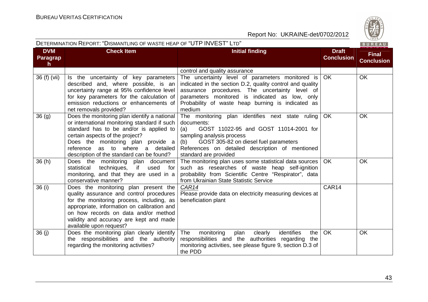

|                                        |                                                                                                                                                                                                                                                                                                   | DETERMINATION REPORT. DISMANTLING OF WASTE HEAP OF LUT INVEST. LTD                                                                                                                                                                                                               |                                   |                                   |
|----------------------------------------|---------------------------------------------------------------------------------------------------------------------------------------------------------------------------------------------------------------------------------------------------------------------------------------------------|----------------------------------------------------------------------------------------------------------------------------------------------------------------------------------------------------------------------------------------------------------------------------------|-----------------------------------|-----------------------------------|
| <b>DVM</b><br>Paragrap<br>$\mathsf{h}$ | <b>Check Item</b>                                                                                                                                                                                                                                                                                 | <b>Initial finding</b>                                                                                                                                                                                                                                                           | <b>Draft</b><br><b>Conclusion</b> | <b>Final</b><br><b>Conclusion</b> |
|                                        |                                                                                                                                                                                                                                                                                                   | control and quality assurance                                                                                                                                                                                                                                                    |                                   |                                   |
| 36 (f) (vii)                           | Is the uncertainty of key parameters<br>described and, where possible, is an<br>uncertainty range at 95% confidence level<br>for key parameters for the calculation of<br>emission reductions or enhancements of<br>net removals provided?                                                        | The uncertainty level of parameters monitored is<br>indicated in the section D.2, quality control and quality<br>assurance procedures. The uncertainty level of<br>parameters monitored is indicated as low, only<br>Probability of waste heap burning is indicated as<br>medium | <b>OK</b>                         | <b>OK</b>                         |
| 36(q)                                  | Does the monitoring plan identify a national<br>or international monitoring standard if such<br>standard has to be and/or is applied to<br>certain aspects of the project?<br>Does the monitoring plan provide a<br>reference as to where a detailed<br>description of the standard can be found? | The monitoring plan identifies next state ruling<br>documents:<br>GOST 11022-95 and GOST 11014-2001 for<br>(a)<br>sampling analysis process<br>GOST 305-82 on diesel fuel parameters<br>(b)<br>References on detailed description of mentioned<br>standard are provided          | OK                                | <b>OK</b>                         |
| 36(h)                                  | Does the monitoring plan document<br>techniques, if used for<br>statistical<br>monitoring, and that they are used in a<br>conservative manner?                                                                                                                                                    | The monitoring plan uses some statistical data sources<br>such as researches of waste heap self-ignition<br>probability from Scientific Centre "Respirator", data<br>from Ukrainian State Statistic Service                                                                      | OK.                               | <b>OK</b>                         |
| 36 (i)                                 | Does the monitoring plan present the<br>quality assurance and control procedures<br>for the monitoring process, including, as<br>appropriate, information on calibration and<br>on how records on data and/or method<br>validity and accuracy are kept and made<br>available upon request?        | CAR14<br>Please provide data on electricity measuring devices at<br>beneficiation plant                                                                                                                                                                                          | CAR14                             |                                   |
| 36(i)                                  | Does the monitoring plan clearly identify<br>the responsibilities and the authority<br>regarding the monitoring activities?                                                                                                                                                                       | identifies<br>The<br>monitoring<br>plan<br>clearly<br>the<br>responsibilities and the authorities regarding<br>the<br>monitoring activities, see please figure 9, section D.3 of<br>the PDD                                                                                      | <b>OK</b>                         | <b>OK</b>                         |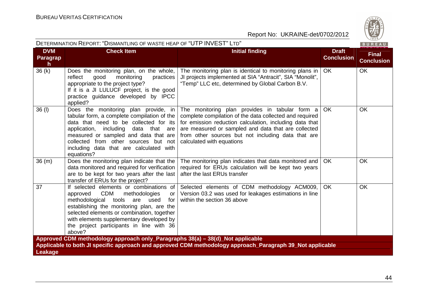

| DETERMINATION REPORT: "DISMANTLING OF WASTE HEAP OF "UTP INVEST" LTD"<br>BUREAU |                                                                                                                                                                                                                                                                                                                                     |                                                                                                                                                                                                                                                                                                                |                                   |                                   |
|---------------------------------------------------------------------------------|-------------------------------------------------------------------------------------------------------------------------------------------------------------------------------------------------------------------------------------------------------------------------------------------------------------------------------------|----------------------------------------------------------------------------------------------------------------------------------------------------------------------------------------------------------------------------------------------------------------------------------------------------------------|-----------------------------------|-----------------------------------|
| <b>DVM</b><br><b>Paragrap</b><br>$\mathsf{h}$                                   | <b>Check Item</b>                                                                                                                                                                                                                                                                                                                   | <b>Initial finding</b>                                                                                                                                                                                                                                                                                         | <b>Draft</b><br><b>Conclusion</b> | <b>Final</b><br><b>Conclusion</b> |
| 36(k)                                                                           | Does the monitoring plan, on the whole,<br>reflect<br>good<br>monitoring<br>practices<br>appropriate to the project type?<br>If it is a JI LULUCF project, is the good<br>practice guidance developed by IPCC<br>applied?                                                                                                           | The monitoring plan is identical to monitoring plans in<br>JI projects implemented at SIA "Antracit", SIA "Monolit",<br>"Temp" LLC etc, determined by Global Carbon B.V.                                                                                                                                       | <b>OK</b>                         | <b>OK</b>                         |
| $36$ (I)                                                                        | Does the monitoring plan provide, in<br>tabular form, a complete compilation of the<br>data that need to be collected for its<br>application, including<br>data that are<br>measured or sampled and data that are<br>collected from other sources but not<br>including data that are calculated with<br>equations?                  | The monitoring plan provides in tabular form a<br>complete compilation of the data collected and required<br>for emission reduction calculation, including data that<br>are measured or sampled and data that are collected<br>from other sources but not including data that are<br>calculated with equations | <b>OK</b>                         | <b>OK</b>                         |
| 36(m)                                                                           | Does the monitoring plan indicate that the<br>data monitored and required for verification<br>are to be kept for two years after the last<br>transfer of ERUs for the project?                                                                                                                                                      | The monitoring plan indicates that data monitored and<br>required for ERUs calculation will be kept two years<br>after the last ERUs transfer                                                                                                                                                                  | <b>OK</b>                         | OK                                |
| 37                                                                              | If selected elements or combinations of<br><b>CDM</b><br>methodologies<br>approved<br>or<br>methodological tools<br>are<br>used<br>for<br>establishing the monitoring plan, are the<br>selected elements or combination, together<br>with elements supplementary developed by<br>the project participants in line with 36<br>above? | Selected elements of CDM methodology ACM009,<br>Version 03.2 was used for leakages estimations in line<br>within the section 36 above                                                                                                                                                                          | <b>OK</b>                         | <b>OK</b>                         |
|                                                                                 | Approved CDM methodology approach only_Paragraphs 38(a) - 38(d)_Not applicable                                                                                                                                                                                                                                                      |                                                                                                                                                                                                                                                                                                                |                                   |                                   |
| Leakage                                                                         |                                                                                                                                                                                                                                                                                                                                     | Applicable to both JI specific approach and approved CDM methodology approach_Paragraph 39_Not applicable                                                                                                                                                                                                      |                                   |                                   |
|                                                                                 |                                                                                                                                                                                                                                                                                                                                     |                                                                                                                                                                                                                                                                                                                |                                   |                                   |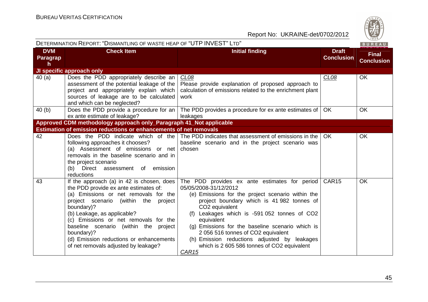

|                                     | DETERMINATION REPORT: "DISMANTLING OF WASTE HEAP OF "UTP INVEST" LTD"                                                                                                                                                                                                                                                                                                                                  |                                                                                                                                                                                                                                                                                                                                                                                                                                                                                        |                                   |                                   |  |
|-------------------------------------|--------------------------------------------------------------------------------------------------------------------------------------------------------------------------------------------------------------------------------------------------------------------------------------------------------------------------------------------------------------------------------------------------------|----------------------------------------------------------------------------------------------------------------------------------------------------------------------------------------------------------------------------------------------------------------------------------------------------------------------------------------------------------------------------------------------------------------------------------------------------------------------------------------|-----------------------------------|-----------------------------------|--|
| <b>DVM</b><br><b>Paragrap</b><br>h. | <b>Check Item</b>                                                                                                                                                                                                                                                                                                                                                                                      | <b>Initial finding</b>                                                                                                                                                                                                                                                                                                                                                                                                                                                                 | <b>Draft</b><br><b>Conclusion</b> | <b>Final</b><br><b>Conclusion</b> |  |
|                                     | JI specific approach only                                                                                                                                                                                                                                                                                                                                                                              |                                                                                                                                                                                                                                                                                                                                                                                                                                                                                        |                                   |                                   |  |
| 40 (a)                              | Does the PDD appropriately describe an<br>assessment of the potential leakage of the<br>project and appropriately explain which<br>sources of leakage are to be calculated<br>and which can be neglected?                                                                                                                                                                                              | CL <sub>08</sub><br>Please provide explanation of proposed approach to<br>calculation of emissions related to the enrichment plant<br>work                                                                                                                                                                                                                                                                                                                                             | CL08                              | OK                                |  |
| 40 (b)                              | Does the PDD provide a procedure for an<br>ex ante estimate of leakage?                                                                                                                                                                                                                                                                                                                                | The PDD provides a procedure for ex ante estimates of<br>leakages                                                                                                                                                                                                                                                                                                                                                                                                                      | OK.                               | <b>OK</b>                         |  |
|                                     | Approved CDM methodology approach only_Paragraph 41_Not applicable                                                                                                                                                                                                                                                                                                                                     |                                                                                                                                                                                                                                                                                                                                                                                                                                                                                        |                                   |                                   |  |
|                                     | <b>Estimation of emission reductions or enhancements of net removals</b>                                                                                                                                                                                                                                                                                                                               |                                                                                                                                                                                                                                                                                                                                                                                                                                                                                        |                                   |                                   |  |
| 42                                  | following approaches it chooses?<br>(a) Assessment of emissions or net<br>removals in the baseline scenario and in<br>the project scenario<br>(b) Direct assessment of emission<br>reductions                                                                                                                                                                                                          | Does the PDD indicate which of the The PDD indicates that assessment of emissions in the<br>baseline scenario and in the project scenario was<br>chosen                                                                                                                                                                                                                                                                                                                                | OK.                               | <b>OK</b>                         |  |
| 43                                  | If the approach (a) in 42 is chosen, does<br>the PDD provide ex ante estimates of:<br>(a) Emissions or net removals for the<br>project scenario (within the<br>project<br>boundary)?<br>(b) Leakage, as applicable?<br>(c) Emissions or net removals for the<br>baseline scenario (within the project<br>boundary)?<br>(d) Emission reductions or enhancements<br>of net removals adjusted by leakage? | The PDD provides ex ante estimates for period<br>05/05/2008-31/12/2012<br>(e) Emissions for the project scenario within the<br>project boundary which is 41 982 tonnes of<br>CO <sub>2</sub> equivalent<br>Leakages which is -591 052 tonnes of CO2<br>(f)<br>equivalent<br>(g) Emissions for the baseline scenario which is<br>2 056 516 tonnes of CO2 equivalent<br>(h) Emission reductions adjusted by leakages<br>which is 2 605 586 tonnes of CO2 equivalent<br>CAR <sub>15</sub> | CAR15                             | OK                                |  |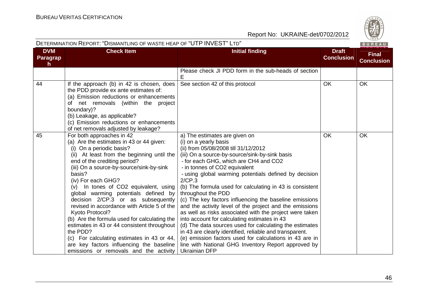|                                               | DETERMINATION REPORT: "DISMANTLING OF WASTE HEAP OF "UTP INVEST" LTD"<br>BUREAU                                                                                                                                                                                                                                                                                                                                                                                                                                                                                                                                                                                                                     |                                                                                                                                                                                                                                                                                                                                                                                                                                                                                                                                                                                                                                                                                                                                                                                                                                                                                 |                                   |                                   |  |  |
|-----------------------------------------------|-----------------------------------------------------------------------------------------------------------------------------------------------------------------------------------------------------------------------------------------------------------------------------------------------------------------------------------------------------------------------------------------------------------------------------------------------------------------------------------------------------------------------------------------------------------------------------------------------------------------------------------------------------------------------------------------------------|---------------------------------------------------------------------------------------------------------------------------------------------------------------------------------------------------------------------------------------------------------------------------------------------------------------------------------------------------------------------------------------------------------------------------------------------------------------------------------------------------------------------------------------------------------------------------------------------------------------------------------------------------------------------------------------------------------------------------------------------------------------------------------------------------------------------------------------------------------------------------------|-----------------------------------|-----------------------------------|--|--|
| <b>DVM</b><br><b>Paragrap</b><br>$\mathsf{h}$ | <b>Check Item</b>                                                                                                                                                                                                                                                                                                                                                                                                                                                                                                                                                                                                                                                                                   | <b>Initial finding</b>                                                                                                                                                                                                                                                                                                                                                                                                                                                                                                                                                                                                                                                                                                                                                                                                                                                          | <b>Draft</b><br><b>Conclusion</b> | <b>Final</b><br><b>Conclusion</b> |  |  |
|                                               |                                                                                                                                                                                                                                                                                                                                                                                                                                                                                                                                                                                                                                                                                                     | Please check JI PDD form in the sub-heads of section<br>Ε                                                                                                                                                                                                                                                                                                                                                                                                                                                                                                                                                                                                                                                                                                                                                                                                                       |                                   |                                   |  |  |
| 44                                            | If the approach (b) in 42 is chosen, does<br>the PDD provide ex ante estimates of:<br>(a) Emission reductions or enhancements<br>of net removals (within the project<br>boundary)?<br>(b) Leakage, as applicable?<br>(c) Emission reductions or enhancements<br>of net removals adjusted by leakage?                                                                                                                                                                                                                                                                                                                                                                                                | See section 42 of this protocol                                                                                                                                                                                                                                                                                                                                                                                                                                                                                                                                                                                                                                                                                                                                                                                                                                                 | <b>OK</b>                         | OK                                |  |  |
| 45                                            | For both approaches in 42<br>(a) Are the estimates in 43 or 44 given:<br>(i) On a periodic basis?<br>(ii) At least from the beginning until the<br>end of the crediting period?<br>(iii) On a source-by-source/sink-by-sink<br>basis?<br>(iv) For each GHG?<br>(v) In tones of CO2 equivalent, using<br>global warming potentials defined by<br>decision 2/CP.3 or as subsequently<br>revised in accordance with Article 5 of the<br>Kyoto Protocol?<br>(b) Are the formula used for calculating the<br>estimates in 43 or 44 consistent throughout<br>the PDD?<br>(c) For calculating estimates in 43 or 44,<br>are key factors influencing the baseline<br>emissions or removals and the activity | a) The estimates are given on<br>(i) on a yearly basis<br>(ii) from 05/08/2008 till 31/12/2012<br>(iii) On a source-by-source/sink-by-sink basis<br>- for each GHG, which are CH4 and CO2<br>- in tonnes of CO2 equivalent<br>- using global warming potentials defined by decision<br>2/CP.3<br>(b) The formula used for calculating in 43 is consistent<br>throughout the PDD<br>(c) The key factors influencing the baseline emissions<br>and the activity level of the project and the emissions<br>as well as risks associated with the project were taken<br>into account for calculating estimates in 43<br>(d) The data sources used for calculating the estimates<br>in 43 are clearly identified, reliable and transparent.<br>(e) emission factors used for calculations in 43 are in<br>line with National GHG Inventory Report approved by<br><b>Ukrainian DFP</b> | <b>OK</b>                         | <b>OK</b>                         |  |  |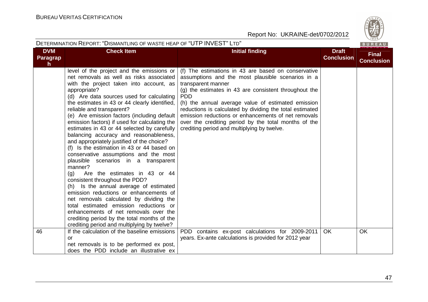

|                              | DETERMINATION REPORT: "DISMANTLING OF WASTE HEAP OF "UTP INVEST" LTD"<br>BUREAU                                                                                                                                                                                                                                                                                                                                                                                                                                                                                                                                                                                                                                                                                                                                                                                                                                                                                                                                                                        |                                                                                                                                                                                                                                                                                                                                                                                                                                                                                       |                                   |                                   |  |  |
|------------------------------|--------------------------------------------------------------------------------------------------------------------------------------------------------------------------------------------------------------------------------------------------------------------------------------------------------------------------------------------------------------------------------------------------------------------------------------------------------------------------------------------------------------------------------------------------------------------------------------------------------------------------------------------------------------------------------------------------------------------------------------------------------------------------------------------------------------------------------------------------------------------------------------------------------------------------------------------------------------------------------------------------------------------------------------------------------|---------------------------------------------------------------------------------------------------------------------------------------------------------------------------------------------------------------------------------------------------------------------------------------------------------------------------------------------------------------------------------------------------------------------------------------------------------------------------------------|-----------------------------------|-----------------------------------|--|--|
| <b>DVM</b><br>Paragrap<br>h. | <b>Check Item</b>                                                                                                                                                                                                                                                                                                                                                                                                                                                                                                                                                                                                                                                                                                                                                                                                                                                                                                                                                                                                                                      | <b>Initial finding</b>                                                                                                                                                                                                                                                                                                                                                                                                                                                                | <b>Draft</b><br><b>Conclusion</b> | <b>Final</b><br><b>Conclusion</b> |  |  |
|                              | level of the project and the emissions or<br>net removals as well as risks associated<br>with the project taken into account, as<br>appropriate?<br>(d) Are data sources used for calculating<br>the estimates in 43 or 44 clearly identified,<br>reliable and transparent?<br>(e) Are emission factors (including default<br>emission factors) if used for calculating the<br>estimates in 43 or 44 selected by carefully<br>balancing accuracy and reasonableness,<br>and appropriately justified of the choice?<br>(f) Is the estimation in 43 or 44 based on<br>conservative assumptions and the most<br>plausible scenarios in a transparent<br>manner?<br>Are the estimates in 43 or 44<br>(g)<br>consistent throughout the PDD?<br>(h) Is the annual average of estimated<br>emission reductions or enhancements of<br>net removals calculated by dividing the<br>total estimated emission reductions or<br>enhancements of net removals over the<br>crediting period by the total months of the<br>crediting period and multiplying by twelve? | (f) The estimations in 43 are based on conservative<br>assumptions and the most plausible scenarios in a<br>transparent manner<br>(g) the estimates in 43 are consistent throughout the<br><b>PDD</b><br>(h) the annual average value of estimated emission<br>reductions is calculated by dividing the total estimated<br>emission reductions or enhancements of net removals<br>over the crediting period by the total months of the<br>crediting period and multiplying by twelve. |                                   |                                   |  |  |
| 46                           | If the calculation of the baseline emissions<br><b>or</b><br>net removals is to be performed ex post,<br>does the PDD include an illustrative ex                                                                                                                                                                                                                                                                                                                                                                                                                                                                                                                                                                                                                                                                                                                                                                                                                                                                                                       | PDD contains ex-post calculations for 2009-2011<br>years. Ex-ante calculations is provided for 2012 year                                                                                                                                                                                                                                                                                                                                                                              | OK.                               | <b>OK</b>                         |  |  |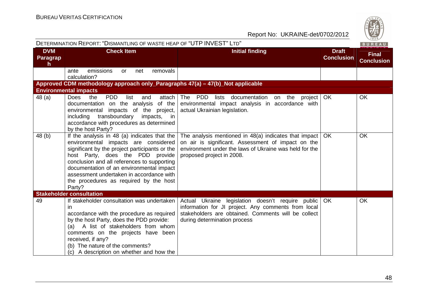|                                    | DETERMINATION REPORT: "DISMANTLING OF WASTE HEAP OF "UTP INVEST" LTD"                                                                                                                                                                                                                                                                                                 |                                                                                                                                                                                                      | BUREAU                            |                                   |
|------------------------------------|-----------------------------------------------------------------------------------------------------------------------------------------------------------------------------------------------------------------------------------------------------------------------------------------------------------------------------------------------------------------------|------------------------------------------------------------------------------------------------------------------------------------------------------------------------------------------------------|-----------------------------------|-----------------------------------|
| <b>DVM</b><br><b>Paragrap</b><br>h | <b>Check Item</b>                                                                                                                                                                                                                                                                                                                                                     | <b>Initial finding</b>                                                                                                                                                                               | <b>Draft</b><br><b>Conclusion</b> | <b>Final</b><br><b>Conclusion</b> |
|                                    | removals<br>emissions<br>ante<br><b>or</b><br>net<br>calculation?                                                                                                                                                                                                                                                                                                     |                                                                                                                                                                                                      |                                   |                                   |
|                                    | Approved CDM methodology approach only_Paragraphs 47(a) - 47(b)_Not applicable                                                                                                                                                                                                                                                                                        |                                                                                                                                                                                                      |                                   |                                   |
|                                    | <b>Environmental impacts</b>                                                                                                                                                                                                                                                                                                                                          |                                                                                                                                                                                                      |                                   |                                   |
| 48 (a)                             | Does<br>the<br><b>PDD</b><br>list<br>attach<br>and<br>documentation on the analysis of the<br>environmental impacts of the project,<br>transboundary<br>including<br>impacts, in<br>accordance with procedures as determined<br>by the host Party?                                                                                                                    | The PDD lists documentation on the project   OK<br>environmental impact analysis in accordance with<br>actual Ukrainian legislation.                                                                 |                                   | <b>OK</b>                         |
| 48 (b)                             | If the analysis in 48 (a) indicates that the<br>environmental impacts are considered<br>significant by the project participants or the<br>host Party, does the PDD provide<br>conclusion and all references to supporting<br>documentation of an environmental impact<br>assessment undertaken in accordance with<br>the procedures as required by the host<br>Party? | The analysis mentioned in $48(a)$ indicates that impact<br>on air is significant. Assessment of impact on the<br>environment under the laws of Ukraine was held for the<br>proposed project in 2008. | OK.                               | <b>OK</b>                         |
|                                    | <b>Stakeholder consultation</b>                                                                                                                                                                                                                                                                                                                                       |                                                                                                                                                                                                      |                                   |                                   |
| 49                                 | If stakeholder consultation was undertaken<br>in<br>accordance with the procedure as required<br>by the host Party, does the PDD provide:<br>(a) A list of stakeholders from whom<br>comments on the projects have been<br>received, if any?<br>(b) The nature of the comments?<br>(c) A description on whether and how the                                           | Actual Ukraine legislation doesn't require public<br>information for JI project. Any comments from local<br>stakeholders are obtained. Comments will be collect<br>during determination process      | OK                                | <b>OK</b>                         |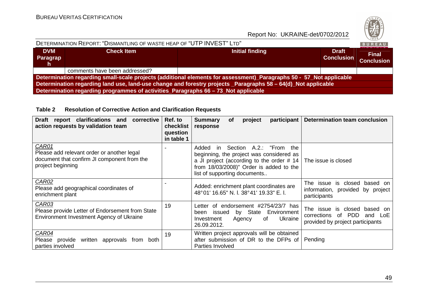

| DETERMINATION REPORT: "DISMANTLING OF WASTE HEAP OF "UTP INVEST" LTD"                                               |                                                                                    |                 |                                   |                                   |  |  |  |
|---------------------------------------------------------------------------------------------------------------------|------------------------------------------------------------------------------------|-----------------|-----------------------------------|-----------------------------------|--|--|--|
| <b>DVM</b><br>Paragrap<br>h                                                                                         | <b>Check Item</b>                                                                  | Initial finding | <b>Draft</b><br><b>Conclusion</b> | <b>Final</b><br><b>Conclusion</b> |  |  |  |
|                                                                                                                     | comments have been addressed?                                                      |                 |                                   |                                   |  |  |  |
| Determination regarding small-scale projects (additional elements for assessment)_Paragraphs 50 - 57_Not applicable |                                                                                    |                 |                                   |                                   |  |  |  |
| Determination regarding land use, land-use change and forestry projects _Paragraphs 58 – 64(d)_Not applicable       |                                                                                    |                 |                                   |                                   |  |  |  |
|                                                                                                                     | Determination regarding programmes of activities_Paragraphs 66 - 73_Not applicable |                 |                                   |                                   |  |  |  |

#### **Table 2 Resolution of Corrective Action and Clarification Requests**

| clarifications and<br>corrective<br><b>Draft</b><br>report<br>action requests by validation team                        | Ref. to<br>checklist<br>question<br>in table 1 | <b>Summary</b><br>participant<br><b>of</b><br>project<br>response                                                                                                                                               | Determination team conclusion                                                                               |
|-------------------------------------------------------------------------------------------------------------------------|------------------------------------------------|-----------------------------------------------------------------------------------------------------------------------------------------------------------------------------------------------------------------|-------------------------------------------------------------------------------------------------------------|
| CAR01<br>Please add relevant order or another legal<br>document that confirm JI component from the<br>project beginning |                                                | Section A.2.: "From the<br>Added<br>in.<br>beginning, the project was considered as<br>a JI project (according to the order $# 14$ )<br>from 18/03/2008)" Order is added to the<br>list of supporting documents | The issue is closed                                                                                         |
| CAR02<br>Please add geographical coordinates of<br>enrichment plant                                                     |                                                | Added: enrichment plant coordinates are<br>48°01' 16.65" N. l. 38°41' 19.33" E. l.                                                                                                                              | The issue is closed based on<br>information, provided by project<br>participants                            |
| CAR03<br>Please provide Letter of Endorsement from State<br>Environment Investment Agency of Ukraine                    | 19                                             | of endorsement #2754/23/7 has<br>Letter<br>by State<br>Environment<br>been<br>issued<br>Ukraine<br>Investment<br>of<br>Agency<br>26.09.2012.                                                                    | The issue is closed<br>based on<br>of PDD<br>corrections<br>LoE.<br>and<br>provided by project participants |
| CAR04<br>Please provide<br>written<br>approvals from both<br>parties involved                                           | 19                                             | Written project approvals will be obtained<br>after submission of DR to the DFPs of<br>Parties Involved                                                                                                         | Pending                                                                                                     |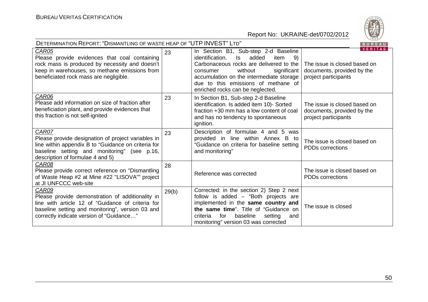

| DETERMINATION REPORT: "DISMANTLING OF WASTE HEAP OF "UTP INVEST" LTD"<br>BUREAU                                                                                                                                |       |                                                                                                                                                                                                                                                                                                |                                                                                                      |  |
|----------------------------------------------------------------------------------------------------------------------------------------------------------------------------------------------------------------|-------|------------------------------------------------------------------------------------------------------------------------------------------------------------------------------------------------------------------------------------------------------------------------------------------------|------------------------------------------------------------------------------------------------------|--|
| <b>CAR05</b><br>Please provide evidences that coal containing<br>rock mass is produced by necessity and doesn't<br>keep in warehouses, so methane emissions from<br>beneficiated rock mass are negligible.     | 23    | In Section B1, Sub-step 2-d Baseline<br>added<br>identification.<br>item<br>-9)<br>ls.<br>Carbonaceous rocks are delivered to the<br>significant<br>without<br>consumer<br>accumulation on the intermediate storage<br>due to this emissions of methane of<br>enriched rocks can be neglected. | <b>VERITAS</b><br>The issue is closed based on<br>documents, provided by the<br>project participants |  |
| CAR06<br>Please add information on size of fraction after<br>beneficiation plant, and provide evidences that<br>this fraction is not self-ignited                                                              | 23    | In Section B1, Sub-step 2-d Baseline<br>identification. Is added item 10)- Sorted<br>fraction +30 mm has a low content of coal<br>and has no tendency to spontaneous<br>ignition.                                                                                                              | The issue is closed based on<br>documents, provided by the<br>project participants                   |  |
| CAR07<br>Please provide designation of project variables in<br>line within appendix B to "Guidance on criteria for<br>baseline setting and monitoring" (see p.16,<br>description of formulae 4 and 5)          | 23    | Description of formulae 4 and 5 was<br>provided in line within Annex B to<br>"Guidance on criteria for baseline setting<br>and monitoring"                                                                                                                                                     | The issue is closed based on<br><b>PDDs</b> corrections                                              |  |
| CAR08<br>Please provide correct reference on "Dismantling"<br>of Waste Heap #2 at Mine #22 "LISOVA"" project<br>at JI UNFCCC web-site                                                                          | 28    | Reference was corrected                                                                                                                                                                                                                                                                        | The issue is closed based on<br><b>PDDs corrections</b>                                              |  |
| CAR09<br>Please provide demonstration of additionality in<br>line with article 12 of "Guidance of criteria for<br>baseline setting and monitoring", version 03 and<br>correctly indicate version of "Guidance" | 29(b) | Corrected: in the section 2) Step 2 next<br>follow is added - "Both projects are<br>implemented in the same country and<br>the same time". Title of "Guidance on<br>baseline<br>for<br>setting<br>criteria<br>and<br>monitoring" version 03 was corrected                                      | The issue is closed                                                                                  |  |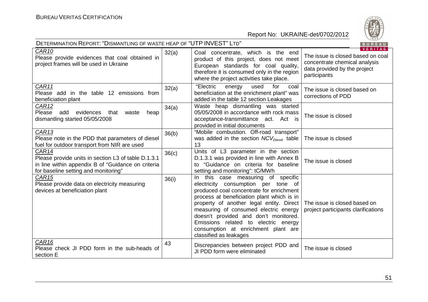

| DETERMINATION REPORT: "DISMANTLING OF WASTE HEAP OF "UTP INVEST" LTD"<br>BUREAU                                                                            |       |                                                                                                                                                                                                                                                                                                                                                                                                            |                                                                                                                                      |  |
|------------------------------------------------------------------------------------------------------------------------------------------------------------|-------|------------------------------------------------------------------------------------------------------------------------------------------------------------------------------------------------------------------------------------------------------------------------------------------------------------------------------------------------------------------------------------------------------------|--------------------------------------------------------------------------------------------------------------------------------------|--|
| CAR10<br>Please provide evidences that coal obtained in<br>project frames will be used in Ukraine                                                          | 32(a) | Coal concentrate, which is the end<br>product of this project, does not meet<br>European standards for coal quality,<br>therefore it is consumed only in the region<br>where the project activities take place.                                                                                                                                                                                            | <b>VERITAS</b><br>The issue is closed based on coal<br>concentrate chemical analysis<br>data provided by the project<br>participants |  |
| CAR11<br>Please add in the table 12 emissions from<br>beneficiation plant                                                                                  | 32(a) | "Electric<br>used<br>for<br>energy<br>coal<br>beneficiation at the enrichment plant" was<br>added in the table 12 section Leakages                                                                                                                                                                                                                                                                         | The issue is closed based on<br>corrections of PDD                                                                                   |  |
| CAR <sub>12</sub><br>Please add<br>evidences<br>that<br>waste<br>heap<br>dismantling started 05/05/2008                                                    | 34(a) | Waste heap dismantling was started<br>05/05/2008 in accordance with rock mass<br>acceptance-transmittance act. Act is<br>provided in initial documents                                                                                                                                                                                                                                                     | The issue is closed                                                                                                                  |  |
| CAR13<br>Please note in the PDD that parameters of diesel<br>fuel for outdoor transport from NIR are used                                                  | 36(b) | "Mobile combustion. Off-road transport"<br>was added in the section $NCV_{Diesel}$ table<br>13                                                                                                                                                                                                                                                                                                             | The issue is closed                                                                                                                  |  |
| CAR14<br>Please provide units in section L3 of table D.1.3.1<br>in line within appendix B of "Guidance on criteria<br>for baseline setting and monitoring" | 36(c) | Units of L3 parameter in the section<br>D.1.3.1 was provided in line with Annex B<br>to "Guidance on criteria for baseline<br>setting and monitoring": tC/MWh                                                                                                                                                                                                                                              | The issue is closed                                                                                                                  |  |
| CAR <sub>15</sub><br>Please provide data on electricity measuring<br>devices at beneficiation plant                                                        | 36(i) | In this case measuring of specific<br>electricity consumption per tone of<br>produced coal concentrate for enrichment<br>process at beneficiation plant which is in<br>property of another legal entity. Direct<br>measuring of consumed electric energy<br>doesn't provided and don't monitored.<br>Emissions related to electric energy<br>consumption at enrichment plant are<br>classified as leakages | The issue is closed based on<br>project participants clarifications                                                                  |  |
| CAR <sub>16</sub><br>Please check JI PDD form in the sub-heads of<br>section E                                                                             | 43    | Discrepancies between project PDD and<br>JI PDD form were eliminated                                                                                                                                                                                                                                                                                                                                       | The issue is closed                                                                                                                  |  |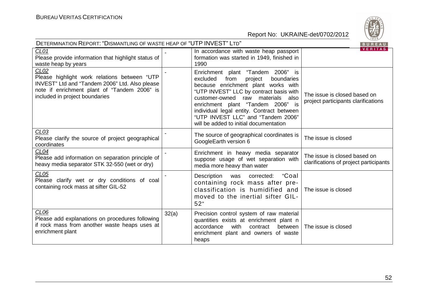

| DETERMINATION REPORT: "DISMANTLING OF WASTE HEAP OF "UTP INVEST" LTD"<br>BUREAU                                                                                                                      |       |                                                                                                                                                                                                                                                                                                                                                                         |                                                                        |  |  |
|------------------------------------------------------------------------------------------------------------------------------------------------------------------------------------------------------|-------|-------------------------------------------------------------------------------------------------------------------------------------------------------------------------------------------------------------------------------------------------------------------------------------------------------------------------------------------------------------------------|------------------------------------------------------------------------|--|--|
| CL <sub>01</sub><br>Please provide information that highlight status of<br>waste heap by years                                                                                                       |       | In accordance with waste heap passport<br>formation was started in 1949, finished in<br>1990                                                                                                                                                                                                                                                                            | <b>VERITAS</b>                                                         |  |  |
| CL <sub>02</sub><br>Please highlight work relations between "UTP<br>INVEST" Ltd and "Tandem 2006" Ltd. Also please<br>note if enrichment plant of "Tandem 2006" is<br>included in project boundaries |       | Enrichment plant "Tandem 2006" is<br>excluded<br>from<br>project<br>boundaries<br>because enrichment plant works with<br>"UTP INVEST" LLC by contract basis with<br>customer-owned raw materials also<br>enrichment plant "Tandem 2006" is<br>individual legal entity. Contract between<br>"UTP INVEST LLC" and "Tandem 2006"<br>will be added to initial documentation | The issue is closed based on<br>project participants clarifications    |  |  |
| CL <sub>03</sub><br>Please clarify the source of project geographical<br>coordinates                                                                                                                 |       | The source of geographical coordinates is<br>GoogleEarth version 6                                                                                                                                                                                                                                                                                                      | The issue is closed                                                    |  |  |
| CL04<br>Please add information on separation principle of<br>heavy media separator STK 32-550 (wet or dry)                                                                                           |       | Enrichment in heavy media separator<br>suppose usage of wet separation with<br>media more heavy than water                                                                                                                                                                                                                                                              | The issue is closed based on<br>clarifications of project participants |  |  |
| CL05<br>Please clarify wet or dry conditions of coal<br>containing rock mass at sifter GIL-52                                                                                                        |       | "Coal<br>Description was<br>corrected:<br>containing rock mass after pre-<br>classification is humidified and<br>moved to the inertial sifter GIL-<br>52"                                                                                                                                                                                                               | The issue is closed                                                    |  |  |
| CL <sub>06</sub><br>Please add explanations on procedures following<br>if rock mass from another waste heaps uses at<br>enrichment plant                                                             | 32(a) | Precision control system of raw material<br>quantities exists at enrichment plant n<br>accordance<br>with<br>between  <br>contract<br>enrichment plant and owners of waste<br>heaps                                                                                                                                                                                     | The issue is closed                                                    |  |  |